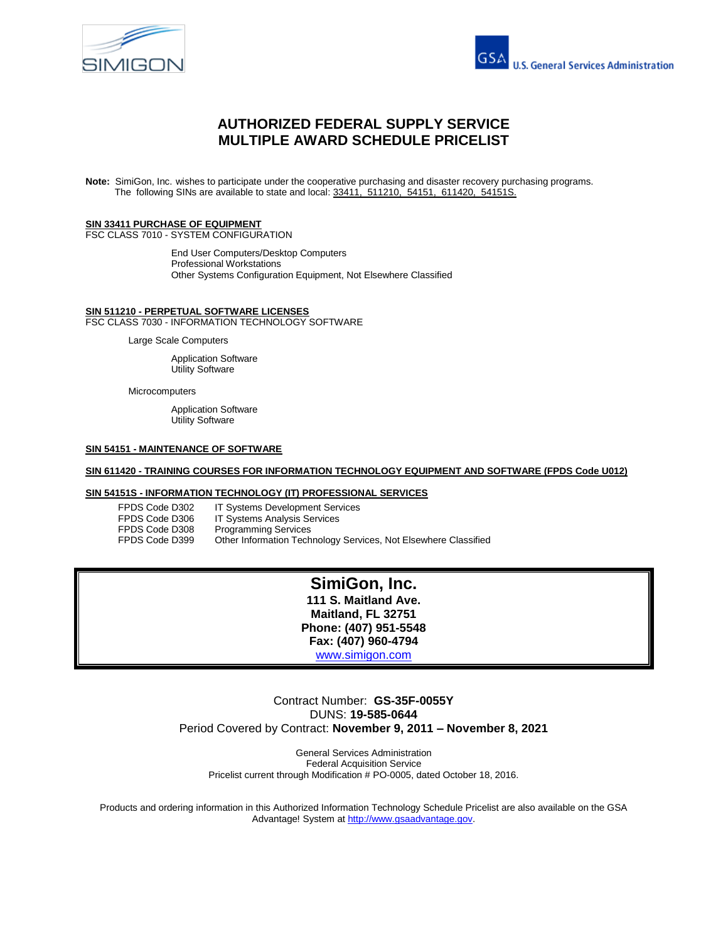



# **AUTHORIZED FEDERAL SUPPLY SERVICE MULTIPLE AWARD SCHEDULE PRICELIST**

**Note:** SimiGon, Inc. wishes to participate under the cooperative purchasing and disaster recovery purchasing programs. The following SINs are available to state and local: 33411, 511210, 54151, 611420, 54151S.

#### **SIN 33411 PURCHASE OF EQUIPMENT** FSC CLASS 7010 - SYSTEM CONFIGURATION

End User Computers/Desktop Computers Professional Workstations Other Systems Configuration Equipment, Not Elsewhere Classified

#### **SIN 511210 - PERPETUAL SOFTWARE LICENSES** FSC CLASS 7030 - INFORMATION TECHNOLOGY SOFTWARE

Large Scale Computers

Application Software Utility Software

Microcomputers

Application Software Utility Software

#### **SIN 54151 - MAINTENANCE OF SOFTWARE**

#### **SIN 611420 - TRAINING COURSES FOR INFORMATION TECHNOLOGY EQUIPMENT AND SOFTWARE (FPDS Code U012)**

#### **SIN 54151S - INFORMATION TECHNOLOGY (IT) PROFESSIONAL SERVICES**

| FPDS Code D302 | <b>IT Systems Development Services</b>                          |
|----------------|-----------------------------------------------------------------|
| FPDS Code D306 | <b>IT Systems Analysis Services</b>                             |
| FPDS Code D308 | <b>Programming Services</b>                                     |
| FPDS Code D399 | Other Information Technology Services, Not Elsewhere Classified |

# **SimiGon, Inc.**

**111 S. Maitland Ave. Maitland, FL 32751 Phone: (407) 951-5548 Fax: (407) 960-4794** [www.simigon.com](../../AppData/Local/Microsoft/Windows/Temporary%20Internet%20Files/Content.Outlook/3%20-%20Pricing%20Proposal/www.simigon.com)

# Contract Number: **GS-35F-0055Y** DUNS: **19-585-0644** Period Covered by Contract: **November 9, 2011 – November 8, 2021**

General Services Administration Federal Acquisition Service Pricelist current through Modification # PO-0005, dated October 18, 2016.

Products and ordering information in this Authorized Information Technology Schedule Pricelist are also available on the GSA Advantage! System at [http://www.gsaadvantage.gov.](http://www.gsaadvantage.gov/)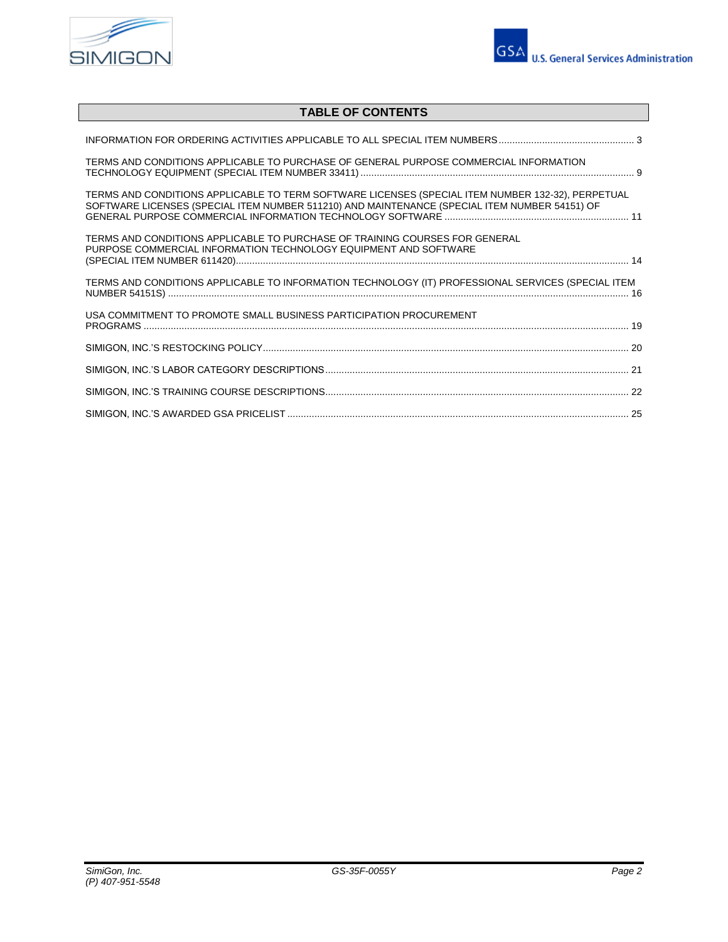



# **TABLE OF CONTENTS**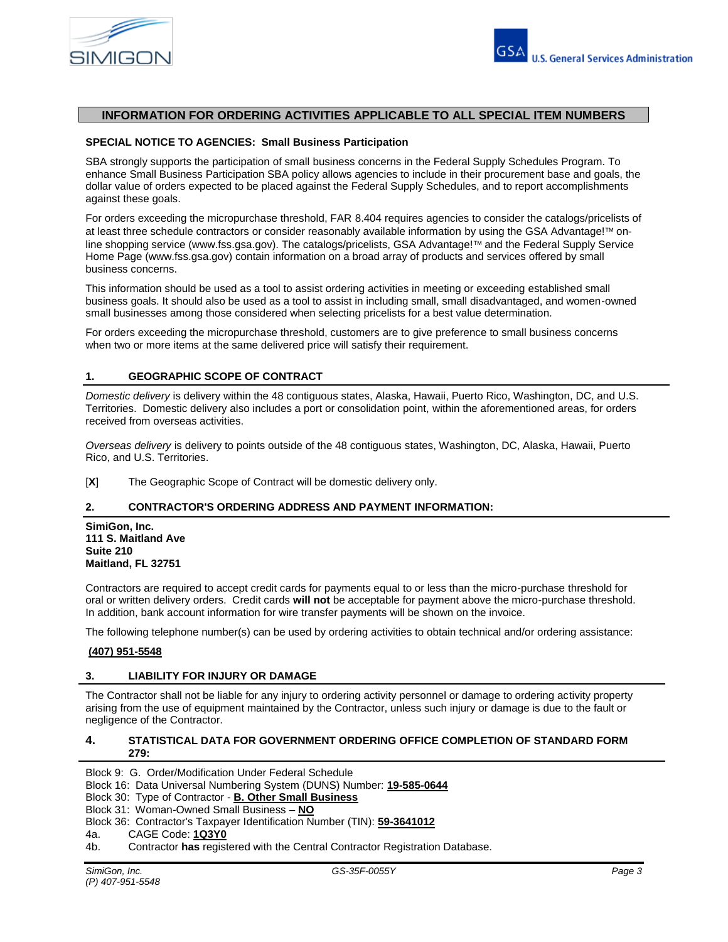

# **INFORMATION FOR ORDERING ACTIVITIES APPLICABLE TO ALL SPECIAL ITEM NUMBERS**

#### **SPECIAL NOTICE TO AGENCIES: Small Business Participation**

SBA strongly supports the participation of small business concerns in the Federal Supply Schedules Program. To enhance Small Business Participation SBA policy allows agencies to include in their procurement base and goals, the dollar value of orders expected to be placed against the Federal Supply Schedules, and to report accomplishments against these goals.

For orders exceeding the micropurchase threshold, FAR 8.404 requires agencies to consider the catalogs/pricelists of at least three schedule contractors or consider reasonably available information by using the GSA Advantage! $Im$  online shopping service (www.fss.gsa.gov). The catalogs/pricelists, GSA Advantage!™ and the Federal Supply Service Home Page (www.fss.gsa.gov) contain information on a broad array of products and services offered by small business concerns.

This information should be used as a tool to assist ordering activities in meeting or exceeding established small business goals. It should also be used as a tool to assist in including small, small disadvantaged, and women-owned small businesses among those considered when selecting pricelists for a best value determination.

For orders exceeding the micropurchase threshold, customers are to give preference to small business concerns when two or more items at the same delivered price will satisfy their requirement.

#### **1. GEOGRAPHIC SCOPE OF CONTRACT**

*Domestic delivery* is delivery within the 48 contiguous states, Alaska, Hawaii, Puerto Rico, Washington, DC, and U.S. Territories. Domestic delivery also includes a port or consolidation point, within the aforementioned areas, for orders received from overseas activities.

*Overseas delivery* is delivery to points outside of the 48 contiguous states, Washington, DC, Alaska, Hawaii, Puerto Rico, and U.S. Territories.

[**X**] The Geographic Scope of Contract will be domestic delivery only.

#### **2. CONTRACTOR'S ORDERING ADDRESS AND PAYMENT INFORMATION:**

**SimiGon, Inc. 111 S. Maitland Ave Suite 210 Maitland, FL 32751**

Contractors are required to accept credit cards for payments equal to or less than the micro-purchase threshold for oral or written delivery orders. Credit cards **will not** be acceptable for payment above the micro-purchase threshold. In addition, bank account information for wire transfer payments will be shown on the invoice.

The following telephone number(s) can be used by ordering activities to obtain technical and/or ordering assistance:

#### **(407) 951-5548**

#### **3. LIABILITY FOR INJURY OR DAMAGE**

The Contractor shall not be liable for any injury to ordering activity personnel or damage to ordering activity property arising from the use of equipment maintained by the Contractor, unless such injury or damage is due to the fault or negligence of the Contractor.

#### **4. STATISTICAL DATA FOR GOVERNMENT ORDERING OFFICE COMPLETION OF STANDARD FORM 279:**

Block 9: G. Order/Modification Under Federal Schedule

- Block 16: Data Universal Numbering System (DUNS) Number: **19-585-0644**
- Block 30: Type of Contractor **B. Other Small Business**

Block 31: Woman-Owned Small Business – **NO**

- Block 36: Contractor's Taxpayer Identification Number (TIN): **59-3641012**
- 4a. CAGE Code: **1Q3Y0**
- 4b. Contractor **has** registered with the Central Contractor Registration Database.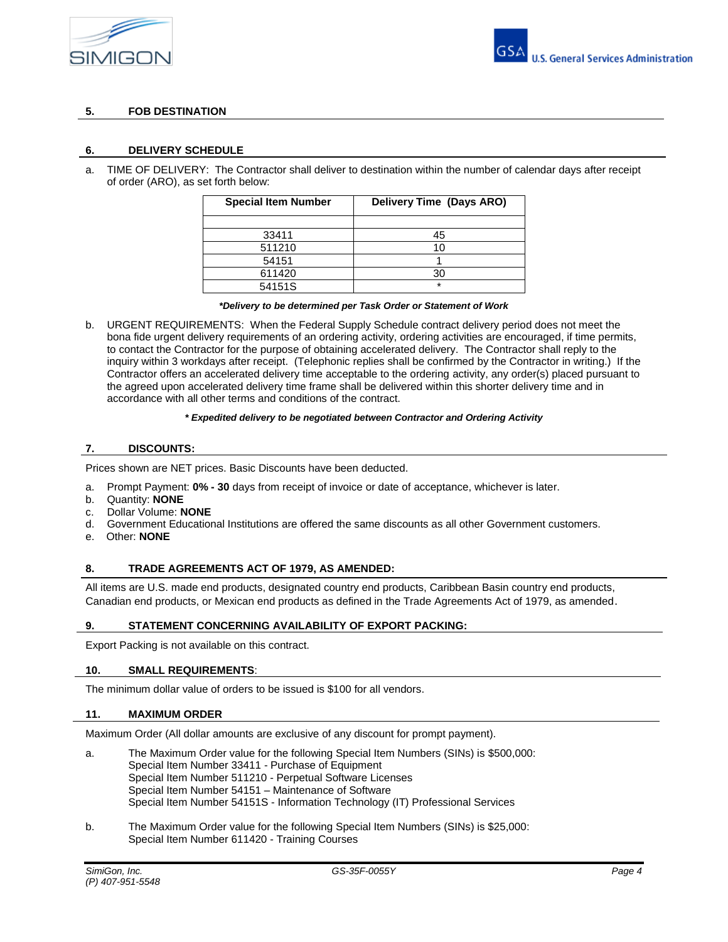



# **5. FOB DESTINATION**

#### **6. DELIVERY SCHEDULE**

a. TIME OF DELIVERY: The Contractor shall deliver to destination within the number of calendar days after receipt of order (ARO), as set forth below:

| <b>Special Item Number</b> | Delivery Time (Days ARO) |  |  |  |  |
|----------------------------|--------------------------|--|--|--|--|
|                            |                          |  |  |  |  |
| 33411                      | 45                       |  |  |  |  |
| 511210                     | 10                       |  |  |  |  |
| 54151                      |                          |  |  |  |  |
| 611420                     | 30                       |  |  |  |  |
| 54151S                     | $\star$                  |  |  |  |  |

#### *\*Delivery to be determined per Task Order or Statement of Work*

b. URGENT REQUIREMENTS: When the Federal Supply Schedule contract delivery period does not meet the bona fide urgent delivery requirements of an ordering activity, ordering activities are encouraged, if time permits, to contact the Contractor for the purpose of obtaining accelerated delivery. The Contractor shall reply to the inquiry within 3 workdays after receipt. (Telephonic replies shall be confirmed by the Contractor in writing.) If the Contractor offers an accelerated delivery time acceptable to the ordering activity, any order(s) placed pursuant to the agreed upon accelerated delivery time frame shall be delivered within this shorter delivery time and in accordance with all other terms and conditions of the contract.

#### *\* Expedited delivery to be negotiated between Contractor and Ordering Activity*

### **7. DISCOUNTS:**

Prices shown are NET prices. Basic Discounts have been deducted.

- a. Prompt Payment: **0% - 30** days from receipt of invoice or date of acceptance, whichever is later.
- b. Quantity: **NONE**
- c. Dollar Volume: **NONE**
- d. Government Educational Institutions are offered the same discounts as all other Government customers.
- e. Other: **NONE**

### **8. TRADE AGREEMENTS ACT OF 1979, AS AMENDED:**

All items are U.S. made end products, designated country end products, Caribbean Basin country end products, Canadian end products, or Mexican end products as defined in the Trade Agreements Act of 1979, as amended.

#### **9. STATEMENT CONCERNING AVAILABILITY OF EXPORT PACKING:**

Export Packing is not available on this contract.

#### **10. SMALL REQUIREMENTS**:

The minimum dollar value of orders to be issued is \$100 for all vendors.

#### **11. MAXIMUM ORDER**

Maximum Order (All dollar amounts are exclusive of any discount for prompt payment).

- a. The Maximum Order value for the following Special Item Numbers (SINs) is \$500,000: Special Item Number 33411 - Purchase of Equipment Special Item Number 511210 - Perpetual Software Licenses Special Item Number 54151 – Maintenance of Software Special Item Number 54151S - Information Technology (IT) Professional Services
- b. The Maximum Order value for the following Special Item Numbers (SINs) is \$25,000: Special Item Number 611420 - Training Courses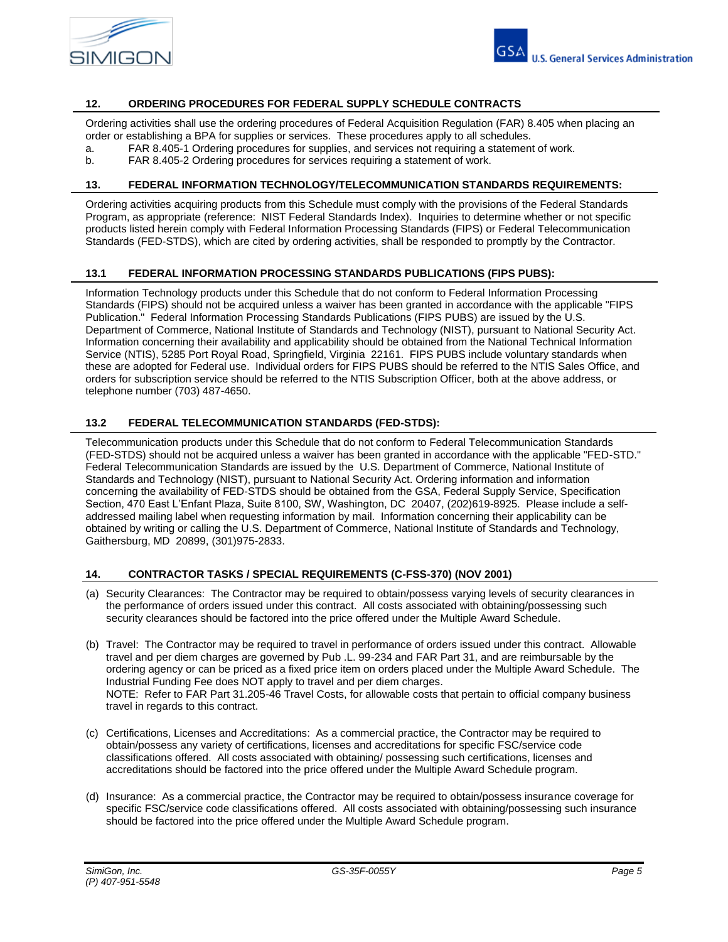

### **12. ORDERING PROCEDURES FOR FEDERAL SUPPLY SCHEDULE CONTRACTS**

Ordering activities shall use the ordering procedures of Federal Acquisition Regulation (FAR) 8.405 when placing an order or establishing a BPA for supplies or services. These procedures apply to all schedules.

- a. FAR 8.405-1 Ordering procedures for supplies, and services not requiring a statement of work.
- b. FAR 8.405-2 Ordering procedures for services requiring a statement of work.

#### **13. FEDERAL INFORMATION TECHNOLOGY/TELECOMMUNICATION STANDARDS REQUIREMENTS:**

Ordering activities acquiring products from this Schedule must comply with the provisions of the Federal Standards Program, as appropriate (reference: NIST Federal Standards Index). Inquiries to determine whether or not specific products listed herein comply with Federal Information Processing Standards (FIPS) or Federal Telecommunication Standards (FED-STDS), which are cited by ordering activities, shall be responded to promptly by the Contractor.

### **13.1 FEDERAL INFORMATION PROCESSING STANDARDS PUBLICATIONS (FIPS PUBS):**

Information Technology products under this Schedule that do not conform to Federal Information Processing Standards (FIPS) should not be acquired unless a waiver has been granted in accordance with the applicable "FIPS Publication." Federal Information Processing Standards Publications (FIPS PUBS) are issued by the U.S. Department of Commerce, National Institute of Standards and Technology (NIST), pursuant to National Security Act. Information concerning their availability and applicability should be obtained from the National Technical Information Service (NTIS), 5285 Port Royal Road, Springfield, Virginia 22161. FIPS PUBS include voluntary standards when these are adopted for Federal use. Individual orders for FIPS PUBS should be referred to the NTIS Sales Office, and orders for subscription service should be referred to the NTIS Subscription Officer, both at the above address, or telephone number (703) 487-4650.

### **13.2 FEDERAL TELECOMMUNICATION STANDARDS (FED-STDS):**

Telecommunication products under this Schedule that do not conform to Federal Telecommunication Standards (FED-STDS) should not be acquired unless a waiver has been granted in accordance with the applicable "FED-STD." Federal Telecommunication Standards are issued by the U.S. Department of Commerce, National Institute of Standards and Technology (NIST), pursuant to National Security Act. Ordering information and information concerning the availability of FED-STDS should be obtained from the GSA, Federal Supply Service, Specification Section, 470 East L'Enfant Plaza, Suite 8100, SW, Washington, DC 20407, (202)619-8925. Please include a selfaddressed mailing label when requesting information by mail. Information concerning their applicability can be obtained by writing or calling the U.S. Department of Commerce, National Institute of Standards and Technology, Gaithersburg, MD 20899, (301)975-2833.

## **14. CONTRACTOR TASKS / SPECIAL REQUIREMENTS (C-FSS-370) (NOV 2001)**

- (a) Security Clearances: The Contractor may be required to obtain/possess varying levels of security clearances in the performance of orders issued under this contract. All costs associated with obtaining/possessing such security clearances should be factored into the price offered under the Multiple Award Schedule.
- (b) Travel: The Contractor may be required to travel in performance of orders issued under this contract. Allowable travel and per diem charges are governed by Pub .L. 99-234 and FAR Part 31, and are reimbursable by the ordering agency or can be priced as a fixed price item on orders placed under the Multiple Award Schedule. The Industrial Funding Fee does NOT apply to travel and per diem charges. NOTE: Refer to FAR Part 31.205-46 Travel Costs, for allowable costs that pertain to official company business travel in regards to this contract.
- (c) Certifications, Licenses and Accreditations: As a commercial practice, the Contractor may be required to obtain/possess any variety of certifications, licenses and accreditations for specific FSC/service code classifications offered. All costs associated with obtaining/ possessing such certifications, licenses and accreditations should be factored into the price offered under the Multiple Award Schedule program.
- (d) Insurance: As a commercial practice, the Contractor may be required to obtain/possess insurance coverage for specific FSC/service code classifications offered. All costs associated with obtaining/possessing such insurance should be factored into the price offered under the Multiple Award Schedule program.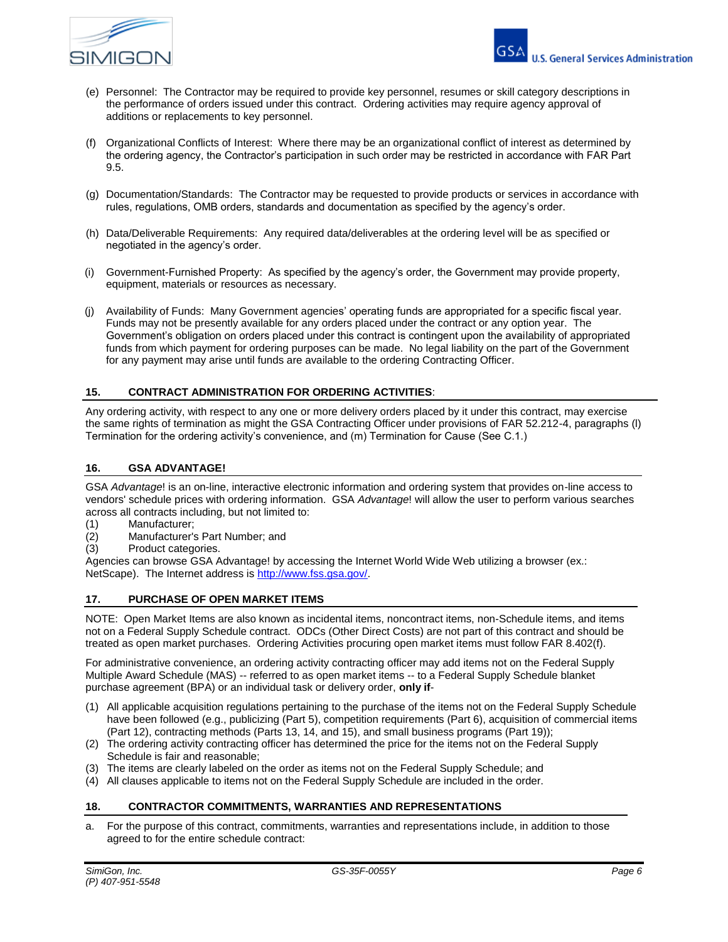

- (e) Personnel: The Contractor may be required to provide key personnel, resumes or skill category descriptions in the performance of orders issued under this contract. Ordering activities may require agency approval of additions or replacements to key personnel.
- (f) Organizational Conflicts of Interest: Where there may be an organizational conflict of interest as determined by the ordering agency, the Contractor's participation in such order may be restricted in accordance with FAR Part 9.5.
- (g) Documentation/Standards: The Contractor may be requested to provide products or services in accordance with rules, regulations, OMB orders, standards and documentation as specified by the agency's order.
- (h) Data/Deliverable Requirements: Any required data/deliverables at the ordering level will be as specified or negotiated in the agency's order.
- (i) Government-Furnished Property: As specified by the agency's order, the Government may provide property, equipment, materials or resources as necessary.
- (j) Availability of Funds: Many Government agencies' operating funds are appropriated for a specific fiscal year. Funds may not be presently available for any orders placed under the contract or any option year. The Government's obligation on orders placed under this contract is contingent upon the availability of appropriated funds from which payment for ordering purposes can be made. No legal liability on the part of the Government for any payment may arise until funds are available to the ordering Contracting Officer.

## **15. CONTRACT ADMINISTRATION FOR ORDERING ACTIVITIES**:

Any ordering activity, with respect to any one or more delivery orders placed by it under this contract, may exercise the same rights of termination as might the GSA Contracting Officer under provisions of FAR 52.212-4, paragraphs (l) Termination for the ordering activity's convenience, and (m) Termination for Cause (See C.1.)

## **16. GSA ADVANTAGE!**

GSA *Advantage*! is an on-line, interactive electronic information and ordering system that provides on-line access to vendors' schedule prices with ordering information. GSA *Advantage*! will allow the user to perform various searches across all contracts including, but not limited to:

- (1) Manufacturer;
- (2) Manufacturer's Part Number; and
- (3) Product categories.

Agencies can browse GSA Advantage! by accessing the Internet World Wide Web utilizing a browser (ex.: NetScape). The Internet address i[s http://www.fss.gsa.gov/.](http://www.fss.gsa.gov/)

### **17. PURCHASE OF OPEN MARKET ITEMS**

NOTE: Open Market Items are also known as incidental items, noncontract items, non-Schedule items, and items not on a Federal Supply Schedule contract. ODCs (Other Direct Costs) are not part of this contract and should be treated as open market purchases. Ordering Activities procuring open market items must follow FAR 8.402(f).

For administrative convenience, an ordering activity contracting officer may add items not on the Federal Supply Multiple Award Schedule (MAS) -- referred to as open market items -- to a Federal Supply Schedule blanket purchase agreement (BPA) or an individual task or delivery order, **only if**-

- (1) All applicable acquisition regulations pertaining to the purchase of the items not on the Federal Supply Schedule have been followed (e.g., publicizing (Part 5), competition requirements (Part 6), acquisition of commercial items (Part 12), contracting methods (Parts 13, 14, and 15), and small business programs (Part 19));
- (2) The ordering activity contracting officer has determined the price for the items not on the Federal Supply Schedule is fair and reasonable;
- (3) The items are clearly labeled on the order as items not on the Federal Supply Schedule; and
- (4) All clauses applicable to items not on the Federal Supply Schedule are included in the order.

### **18. CONTRACTOR COMMITMENTS, WARRANTIES AND REPRESENTATIONS**

a. For the purpose of this contract, commitments, warranties and representations include, in addition to those agreed to for the entire schedule contract: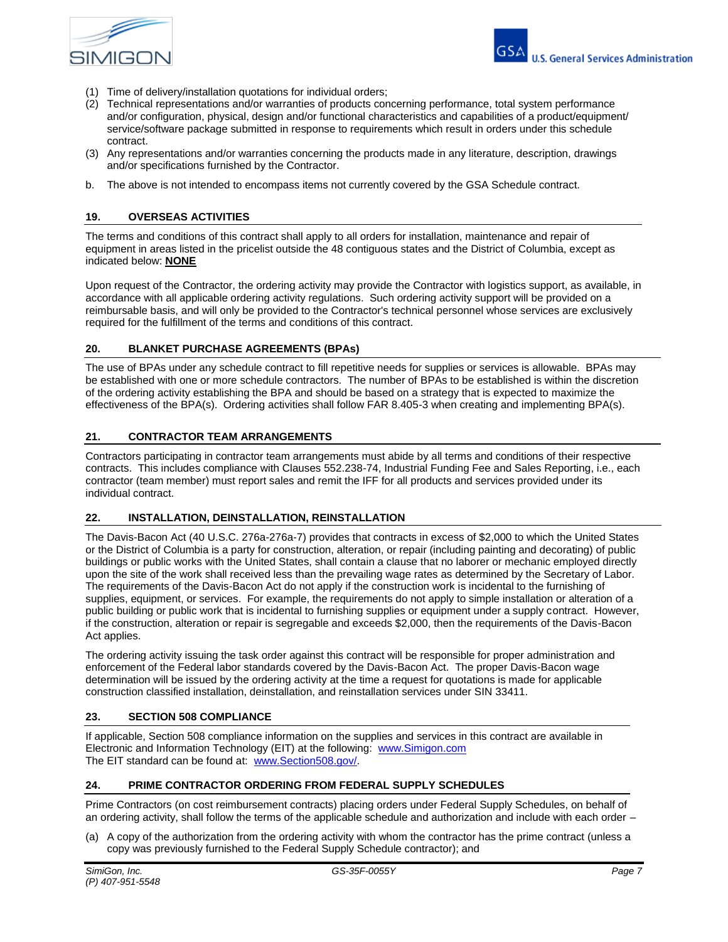

- (1) Time of delivery/installation quotations for individual orders;
- (2) Technical representations and/or warranties of products concerning performance, total system performance and/or configuration, physical, design and/or functional characteristics and capabilities of a product/equipment/ service/software package submitted in response to requirements which result in orders under this schedule contract.
- (3) Any representations and/or warranties concerning the products made in any literature, description, drawings and/or specifications furnished by the Contractor.
- b. The above is not intended to encompass items not currently covered by the GSA Schedule contract.

#### **19. OVERSEAS ACTIVITIES**

The terms and conditions of this contract shall apply to all orders for installation, maintenance and repair of equipment in areas listed in the pricelist outside the 48 contiguous states and the District of Columbia, except as indicated below: **NONE**

Upon request of the Contractor, the ordering activity may provide the Contractor with logistics support, as available, in accordance with all applicable ordering activity regulations. Such ordering activity support will be provided on a reimbursable basis, and will only be provided to the Contractor's technical personnel whose services are exclusively required for the fulfillment of the terms and conditions of this contract.

#### **20. BLANKET PURCHASE AGREEMENTS (BPAs)**

The use of BPAs under any schedule contract to fill repetitive needs for supplies or services is allowable. BPAs may be established with one or more schedule contractors. The number of BPAs to be established is within the discretion of the ordering activity establishing the BPA and should be based on a strategy that is expected to maximize the effectiveness of the BPA(s). Ordering activities shall follow FAR 8.405-3 when creating and implementing BPA(s).

## **21. CONTRACTOR TEAM ARRANGEMENTS**

Contractors participating in contractor team arrangements must abide by all terms and conditions of their respective contracts. This includes compliance with Clauses 552.238-74, Industrial Funding Fee and Sales Reporting, i.e., each contractor (team member) must report sales and remit the IFF for all products and services provided under its individual contract.

#### **22. INSTALLATION, DEINSTALLATION, REINSTALLATION**

The Davis-Bacon Act (40 U.S.C. 276a-276a-7) provides that contracts in excess of \$2,000 to which the United States or the District of Columbia is a party for construction, alteration, or repair (including painting and decorating) of public buildings or public works with the United States, shall contain a clause that no laborer or mechanic employed directly upon the site of the work shall received less than the prevailing wage rates as determined by the Secretary of Labor. The requirements of the Davis-Bacon Act do not apply if the construction work is incidental to the furnishing of supplies, equipment, or services. For example, the requirements do not apply to simple installation or alteration of a public building or public work that is incidental to furnishing supplies or equipment under a supply contract. However, if the construction, alteration or repair is segregable and exceeds \$2,000, then the requirements of the Davis-Bacon Act applies.

The ordering activity issuing the task order against this contract will be responsible for proper administration and enforcement of the Federal labor standards covered by the Davis-Bacon Act. The proper Davis-Bacon wage determination will be issued by the ordering activity at the time a request for quotations is made for applicable construction classified installation, deinstallation, and reinstallation services under SIN 33411.

#### **23. SECTION 508 COMPLIANCE**

If applicable, Section 508 compliance information on the supplies and services in this contract are available in Electronic and Information Technology (EIT) at the following: [www.Simigon.com](http://www.winvale.com/) The EIT standard can be found at: [www.Section508.gov/.](http://www.section508.gov/)

#### **24. PRIME CONTRACTOR ORDERING FROM FEDERAL SUPPLY SCHEDULES**

Prime Contractors (on cost reimbursement contracts) placing orders under Federal Supply Schedules, on behalf of an ordering activity, shall follow the terms of the applicable schedule and authorization and include with each order –

(a) A copy of the authorization from the ordering activity with whom the contractor has the prime contract (unless a copy was previously furnished to the Federal Supply Schedule contractor); and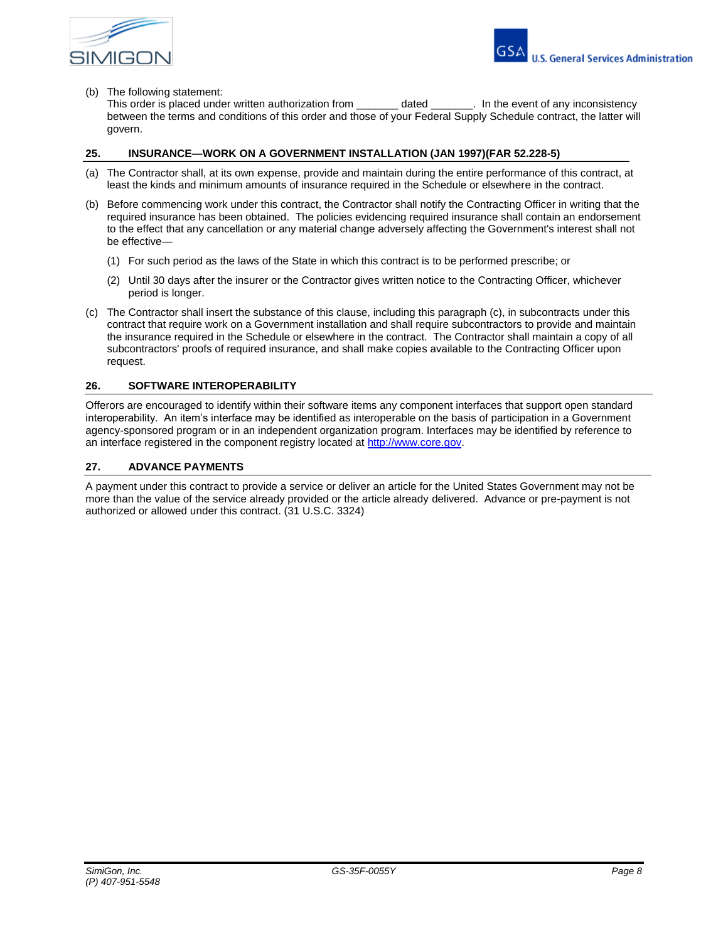

#### (b) The following statement:

This order is placed under written authorization from \_\_\_\_\_\_\_\_ dated \_\_\_\_\_\_\_. In the event of any inconsistency between the terms and conditions of this order and those of your Federal Supply Schedule contract, the latter will govern.

### **25. INSURANCE—WORK ON A GOVERNMENT INSTALLATION (JAN 1997)(FAR 52.228-5)**

- (a) The Contractor shall, at its own expense, provide and maintain during the entire performance of this contract, at least the kinds and minimum amounts of insurance required in the Schedule or elsewhere in the contract.
- (b) Before commencing work under this contract, the Contractor shall notify the Contracting Officer in writing that the required insurance has been obtained. The policies evidencing required insurance shall contain an endorsement to the effect that any cancellation or any material change adversely affecting the Government's interest shall not be effective—
	- (1) For such period as the laws of the State in which this contract is to be performed prescribe; or
	- (2) Until 30 days after the insurer or the Contractor gives written notice to the Contracting Officer, whichever period is longer.
- (c) The Contractor shall insert the substance of this clause, including this paragraph (c), in subcontracts under this contract that require work on a Government installation and shall require subcontractors to provide and maintain the insurance required in the Schedule or elsewhere in the contract. The Contractor shall maintain a copy of all subcontractors' proofs of required insurance, and shall make copies available to the Contracting Officer upon request.

### **26. SOFTWARE INTEROPERABILITY**

Offerors are encouraged to identify within their software items any component interfaces that support open standard interoperability. An item's interface may be identified as interoperable on the basis of participation in a Government agency-sponsored program or in an independent organization program. Interfaces may be identified by reference to an interface registered in the component registry located at [http://www.core.gov.](http://www.core.gov/)

## **27. ADVANCE PAYMENTS**

A payment under this contract to provide a service or deliver an article for the United States Government may not be more than the value of the service already provided or the article already delivered. Advance or pre-payment is not authorized or allowed under this contract. (31 U.S.C. 3324)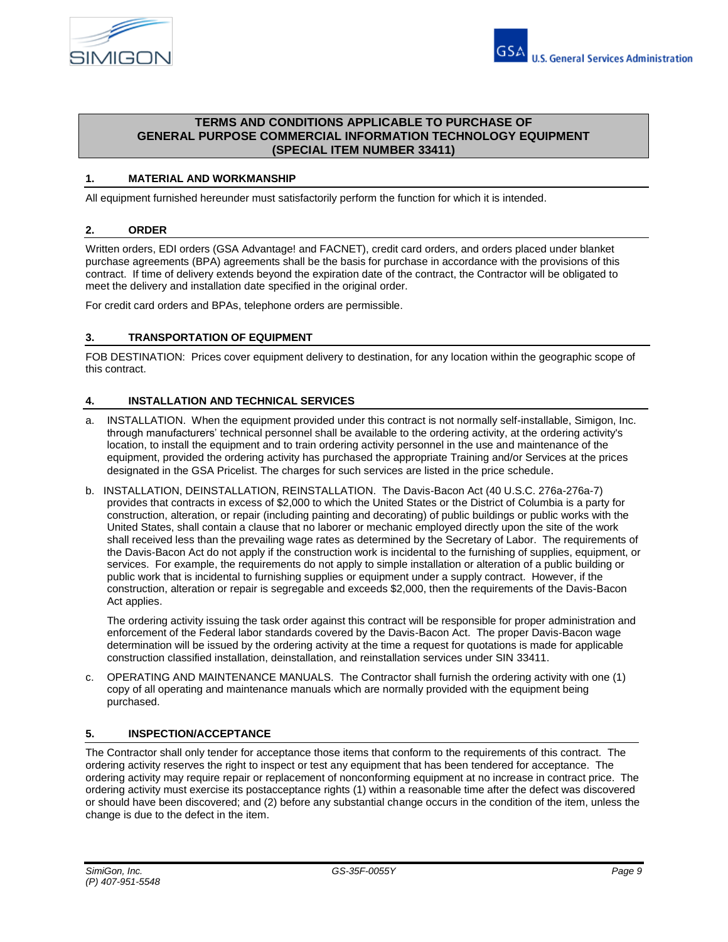

## **TERMS AND CONDITIONS APPLICABLE TO PURCHASE OF GENERAL PURPOSE COMMERCIAL INFORMATION TECHNOLOGY EQUIPMENT (SPECIAL ITEM NUMBER 33411)**

## **1. MATERIAL AND WORKMANSHIP**

All equipment furnished hereunder must satisfactorily perform the function for which it is intended.

### **2. ORDER**

Written orders, EDI orders (GSA Advantage! and FACNET), credit card orders, and orders placed under blanket purchase agreements (BPA) agreements shall be the basis for purchase in accordance with the provisions of this contract. If time of delivery extends beyond the expiration date of the contract, the Contractor will be obligated to meet the delivery and installation date specified in the original order.

For credit card orders and BPAs, telephone orders are permissible.

## **3. TRANSPORTATION OF EQUIPMENT**

FOB DESTINATION: Prices cover equipment delivery to destination, for any location within the geographic scope of this contract.

## **4. INSTALLATION AND TECHNICAL SERVICES**

- a. INSTALLATION. When the equipment provided under this contract is not normally self-installable, Simigon, Inc. through manufacturers' technical personnel shall be available to the ordering activity, at the ordering activity's location, to install the equipment and to train ordering activity personnel in the use and maintenance of the equipment, provided the ordering activity has purchased the appropriate Training and/or Services at the prices designated in the GSA Pricelist. The charges for such services are listed in the price schedule.
- b. INSTALLATION, DEINSTALLATION, REINSTALLATION. The Davis-Bacon Act (40 U.S.C. 276a-276a-7) provides that contracts in excess of \$2,000 to which the United States or the District of Columbia is a party for construction, alteration, or repair (including painting and decorating) of public buildings or public works with the United States, shall contain a clause that no laborer or mechanic employed directly upon the site of the work shall received less than the prevailing wage rates as determined by the Secretary of Labor. The requirements of the Davis-Bacon Act do not apply if the construction work is incidental to the furnishing of supplies, equipment, or services. For example, the requirements do not apply to simple installation or alteration of a public building or public work that is incidental to furnishing supplies or equipment under a supply contract. However, if the construction, alteration or repair is segregable and exceeds \$2,000, then the requirements of the Davis-Bacon Act applies.

The ordering activity issuing the task order against this contract will be responsible for proper administration and enforcement of the Federal labor standards covered by the Davis-Bacon Act. The proper Davis-Bacon wage determination will be issued by the ordering activity at the time a request for quotations is made for applicable construction classified installation, deinstallation, and reinstallation services under SIN 33411.

c. OPERATING AND MAINTENANCE MANUALS. The Contractor shall furnish the ordering activity with one (1) copy of all operating and maintenance manuals which are normally provided with the equipment being purchased.

### **5. INSPECTION/ACCEPTANCE**

The Contractor shall only tender for acceptance those items that conform to the requirements of this contract. The ordering activity reserves the right to inspect or test any equipment that has been tendered for acceptance. The ordering activity may require repair or replacement of nonconforming equipment at no increase in contract price. The ordering activity must exercise its postacceptance rights (1) within a reasonable time after the defect was discovered or should have been discovered; and (2) before any substantial change occurs in the condition of the item, unless the change is due to the defect in the item.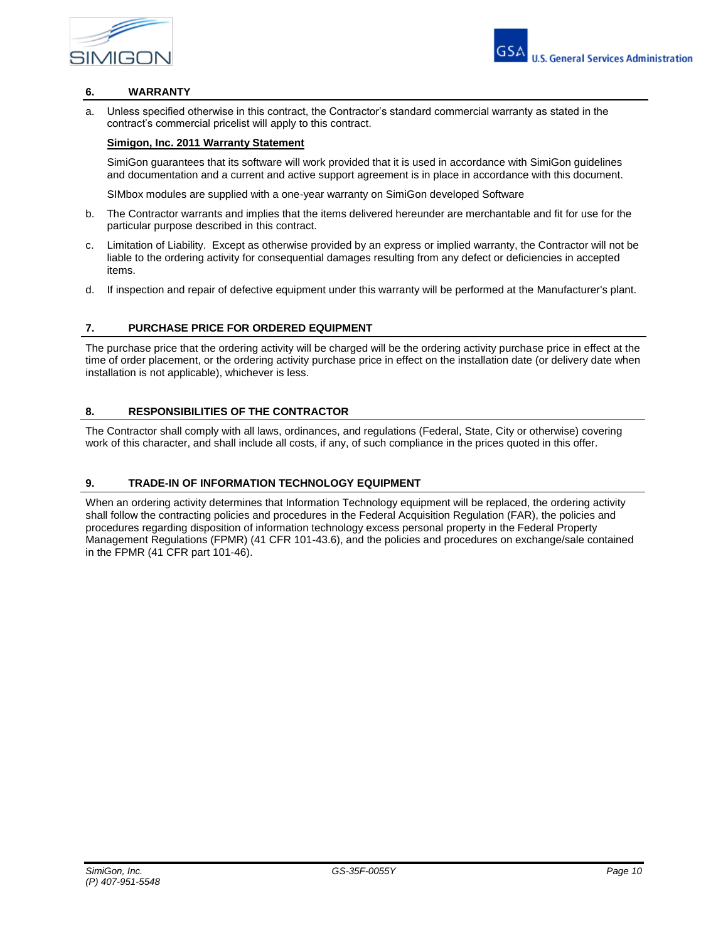



## **6. WARRANTY**

a. Unless specified otherwise in this contract, the Contractor's standard commercial warranty as stated in the contract's commercial pricelist will apply to this contract.

# **Simigon, Inc. 2011 Warranty Statement**

SimiGon guarantees that its software will work provided that it is used in accordance with SimiGon guidelines and documentation and a current and active support agreement is in place in accordance with this document.

SIMbox modules are supplied with a one-year warranty on SimiGon developed Software

- b. The Contractor warrants and implies that the items delivered hereunder are merchantable and fit for use for the particular purpose described in this contract.
- c. Limitation of Liability. Except as otherwise provided by an express or implied warranty, the Contractor will not be liable to the ordering activity for consequential damages resulting from any defect or deficiencies in accepted items.
- d. If inspection and repair of defective equipment under this warranty will be performed at the Manufacturer's plant.

### **7. PURCHASE PRICE FOR ORDERED EQUIPMENT**

The purchase price that the ordering activity will be charged will be the ordering activity purchase price in effect at the time of order placement, or the ordering activity purchase price in effect on the installation date (or delivery date when installation is not applicable), whichever is less.

## **8. RESPONSIBILITIES OF THE CONTRACTOR**

The Contractor shall comply with all laws, ordinances, and regulations (Federal, State, City or otherwise) covering work of this character, and shall include all costs, if any, of such compliance in the prices quoted in this offer.

### **9. TRADE-IN OF INFORMATION TECHNOLOGY EQUIPMENT**

When an ordering activity determines that Information Technology equipment will be replaced, the ordering activity shall follow the contracting policies and procedures in the Federal Acquisition Regulation (FAR), the policies and procedures regarding disposition of information technology excess personal property in the Federal Property Management Regulations (FPMR) (41 CFR 101-43.6), and the policies and procedures on exchange/sale contained in the FPMR (41 CFR part 101-46).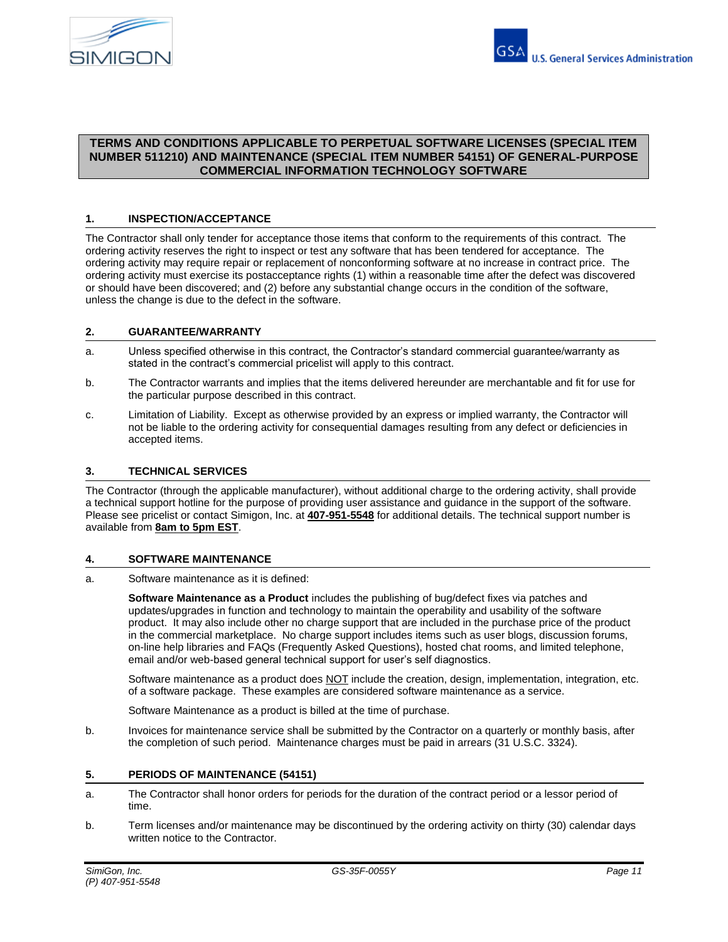

# **TERMS AND CONDITIONS APPLICABLE TO PERPETUAL SOFTWARE LICENSES (SPECIAL ITEM NUMBER 511210) AND MAINTENANCE (SPECIAL ITEM NUMBER 54151) OF GENERAL-PURPOSE COMMERCIAL INFORMATION TECHNOLOGY SOFTWARE**

## **1. INSPECTION/ACCEPTANCE**

The Contractor shall only tender for acceptance those items that conform to the requirements of this contract. The ordering activity reserves the right to inspect or test any software that has been tendered for acceptance. The ordering activity may require repair or replacement of nonconforming software at no increase in contract price. The ordering activity must exercise its postacceptance rights (1) within a reasonable time after the defect was discovered or should have been discovered; and (2) before any substantial change occurs in the condition of the software, unless the change is due to the defect in the software.

### **2. GUARANTEE/WARRANTY**

- a. Unless specified otherwise in this contract, the Contractor's standard commercial guarantee/warranty as stated in the contract's commercial pricelist will apply to this contract.
- b. The Contractor warrants and implies that the items delivered hereunder are merchantable and fit for use for the particular purpose described in this contract.
- c. Limitation of Liability. Except as otherwise provided by an express or implied warranty, the Contractor will not be liable to the ordering activity for consequential damages resulting from any defect or deficiencies in accepted items.

## **3. TECHNICAL SERVICES**

The Contractor (through the applicable manufacturer), without additional charge to the ordering activity, shall provide a technical support hotline for the purpose of providing user assistance and guidance in the support of the software. Please see pricelist or contact Simigon, Inc. at **407-951-5548** for additional details. The technical support number is available from **8am to 5pm EST**.

### **4. SOFTWARE MAINTENANCE**

a. Software maintenance as it is defined:

**Software Maintenance as a Product** includes the publishing of bug/defect fixes via patches and updates/upgrades in function and technology to maintain the operability and usability of the software product. It may also include other no charge support that are included in the purchase price of the product in the commercial marketplace. No charge support includes items such as user blogs, discussion forums, on-line help libraries and FAQs (Frequently Asked Questions), hosted chat rooms, and limited telephone, email and/or web-based general technical support for user's self diagnostics.

Software maintenance as a product does NOT include the creation, design, implementation, integration, etc. of a software package. These examples are considered software maintenance as a service.

Software Maintenance as a product is billed at the time of purchase.

b. Invoices for maintenance service shall be submitted by the Contractor on a quarterly or monthly basis, after the completion of such period. Maintenance charges must be paid in arrears (31 U.S.C. 3324).

### **5. PERIODS OF MAINTENANCE (54151)**

- a. The Contractor shall honor orders for periods for the duration of the contract period or a lessor period of time.
- b. Term licenses and/or maintenance may be discontinued by the ordering activity on thirty (30) calendar days written notice to the Contractor.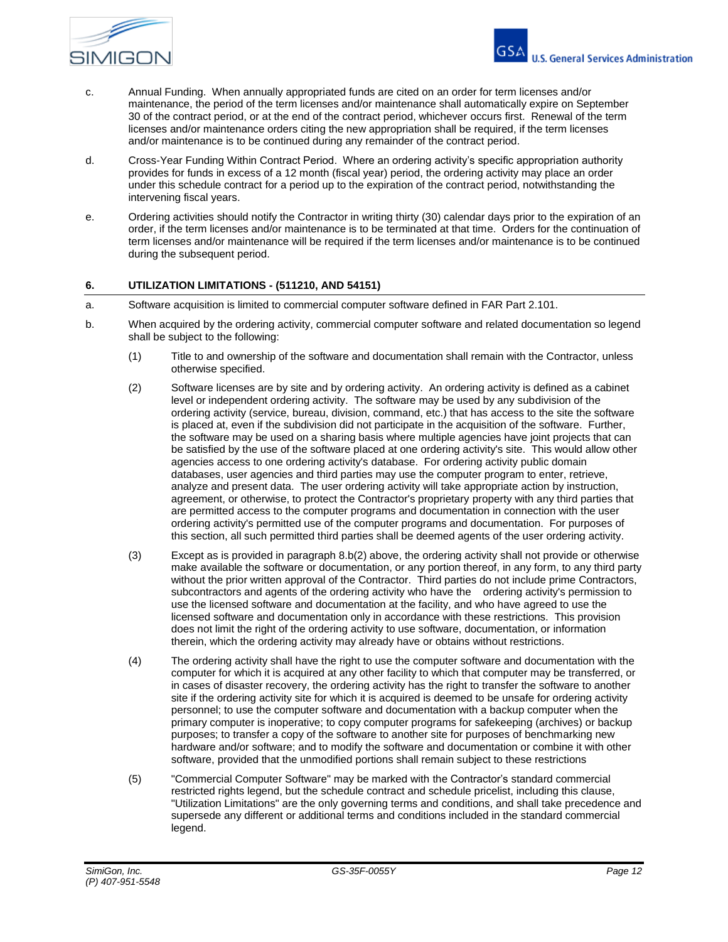

- c. Annual Funding. When annually appropriated funds are cited on an order for term licenses and/or maintenance, the period of the term licenses and/or maintenance shall automatically expire on September 30 of the contract period, or at the end of the contract period, whichever occurs first. Renewal of the term licenses and/or maintenance orders citing the new appropriation shall be required, if the term licenses and/or maintenance is to be continued during any remainder of the contract period.
- d. Cross-Year Funding Within Contract Period. Where an ordering activity's specific appropriation authority provides for funds in excess of a 12 month (fiscal year) period, the ordering activity may place an order under this schedule contract for a period up to the expiration of the contract period, notwithstanding the intervening fiscal years.
- e. Ordering activities should notify the Contractor in writing thirty (30) calendar days prior to the expiration of an order, if the term licenses and/or maintenance is to be terminated at that time. Orders for the continuation of term licenses and/or maintenance will be required if the term licenses and/or maintenance is to be continued during the subsequent period.

## **6. UTILIZATION LIMITATIONS - (511210, AND 54151)**

- a. Software acquisition is limited to commercial computer software defined in FAR Part 2.101.
- b. When acquired by the ordering activity, commercial computer software and related documentation so legend shall be subject to the following:
	- (1) Title to and ownership of the software and documentation shall remain with the Contractor, unless otherwise specified.
	- (2) Software licenses are by site and by ordering activity. An ordering activity is defined as a cabinet level or independent ordering activity. The software may be used by any subdivision of the ordering activity (service, bureau, division, command, etc.) that has access to the site the software is placed at, even if the subdivision did not participate in the acquisition of the software. Further, the software may be used on a sharing basis where multiple agencies have joint projects that can be satisfied by the use of the software placed at one ordering activity's site. This would allow other agencies access to one ordering activity's database. For ordering activity public domain databases, user agencies and third parties may use the computer program to enter, retrieve, analyze and present data. The user ordering activity will take appropriate action by instruction, agreement, or otherwise, to protect the Contractor's proprietary property with any third parties that are permitted access to the computer programs and documentation in connection with the user ordering activity's permitted use of the computer programs and documentation. For purposes of this section, all such permitted third parties shall be deemed agents of the user ordering activity.
	- (3) Except as is provided in paragraph 8.b(2) above, the ordering activity shall not provide or otherwise make available the software or documentation, or any portion thereof, in any form, to any third party without the prior written approval of the Contractor. Third parties do not include prime Contractors, subcontractors and agents of the ordering activity who have the ordering activity's permission to use the licensed software and documentation at the facility, and who have agreed to use the licensed software and documentation only in accordance with these restrictions. This provision does not limit the right of the ordering activity to use software, documentation, or information therein, which the ordering activity may already have or obtains without restrictions.
	- (4) The ordering activity shall have the right to use the computer software and documentation with the computer for which it is acquired at any other facility to which that computer may be transferred, or in cases of disaster recovery, the ordering activity has the right to transfer the software to another site if the ordering activity site for which it is acquired is deemed to be unsafe for ordering activity personnel; to use the computer software and documentation with a backup computer when the primary computer is inoperative; to copy computer programs for safekeeping (archives) or backup purposes; to transfer a copy of the software to another site for purposes of benchmarking new hardware and/or software; and to modify the software and documentation or combine it with other software, provided that the unmodified portions shall remain subject to these restrictions
	- (5) "Commercial Computer Software" may be marked with the Contractor's standard commercial restricted rights legend, but the schedule contract and schedule pricelist, including this clause, "Utilization Limitations" are the only governing terms and conditions, and shall take precedence and supersede any different or additional terms and conditions included in the standard commercial legend.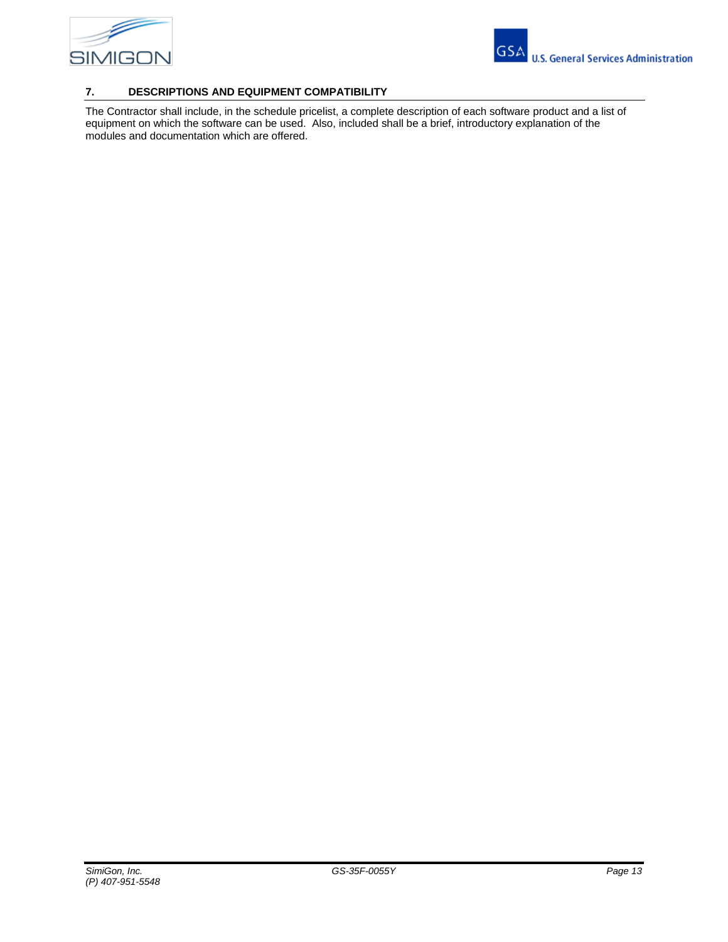

# **7. DESCRIPTIONS AND EQUIPMENT COMPATIBILITY**

The Contractor shall include, in the schedule pricelist, a complete description of each software product and a list of equipment on which the software can be used. Also, included shall be a brief, introductory explanation of the modules and documentation which are offered.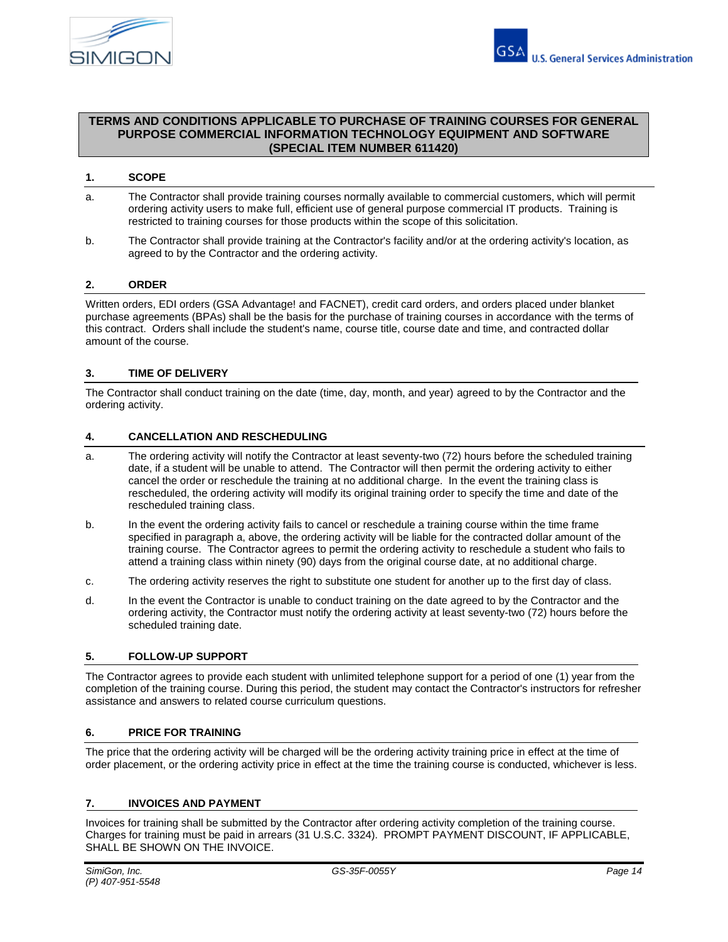

## **TERMS AND CONDITIONS APPLICABLE TO PURCHASE OF TRAINING COURSES FOR GENERAL PURPOSE COMMERCIAL INFORMATION TECHNOLOGY EQUIPMENT AND SOFTWARE (SPECIAL ITEM NUMBER 611420)**

## **1. SCOPE**

- a. The Contractor shall provide training courses normally available to commercial customers, which will permit ordering activity users to make full, efficient use of general purpose commercial IT products. Training is restricted to training courses for those products within the scope of this solicitation.
- b. The Contractor shall provide training at the Contractor's facility and/or at the ordering activity's location, as agreed to by the Contractor and the ordering activity.

### **2. ORDER**

Written orders, EDI orders (GSA Advantage! and FACNET), credit card orders, and orders placed under blanket purchase agreements (BPAs) shall be the basis for the purchase of training courses in accordance with the terms of this contract. Orders shall include the student's name, course title, course date and time, and contracted dollar amount of the course.

## **3. TIME OF DELIVERY**

The Contractor shall conduct training on the date (time, day, month, and year) agreed to by the Contractor and the ordering activity.

### **4. CANCELLATION AND RESCHEDULING**

- a. The ordering activity will notify the Contractor at least seventy-two (72) hours before the scheduled training date, if a student will be unable to attend. The Contractor will then permit the ordering activity to either cancel the order or reschedule the training at no additional charge. In the event the training class is rescheduled, the ordering activity will modify its original training order to specify the time and date of the rescheduled training class.
- b. In the event the ordering activity fails to cancel or reschedule a training course within the time frame specified in paragraph a, above, the ordering activity will be liable for the contracted dollar amount of the training course. The Contractor agrees to permit the ordering activity to reschedule a student who fails to attend a training class within ninety (90) days from the original course date, at no additional charge.
- c. The ordering activity reserves the right to substitute one student for another up to the first day of class.
- d. In the event the Contractor is unable to conduct training on the date agreed to by the Contractor and the ordering activity, the Contractor must notify the ordering activity at least seventy-two (72) hours before the scheduled training date.

### **5. FOLLOW-UP SUPPORT**

The Contractor agrees to provide each student with unlimited telephone support for a period of one (1) year from the completion of the training course. During this period, the student may contact the Contractor's instructors for refresher assistance and answers to related course curriculum questions.

## **6. PRICE FOR TRAINING**

The price that the ordering activity will be charged will be the ordering activity training price in effect at the time of order placement, or the ordering activity price in effect at the time the training course is conducted, whichever is less.

### **7. INVOICES AND PAYMENT**

Invoices for training shall be submitted by the Contractor after ordering activity completion of the training course. Charges for training must be paid in arrears (31 U.S.C. 3324). PROMPT PAYMENT DISCOUNT, IF APPLICABLE, SHALL BE SHOWN ON THE INVOICE.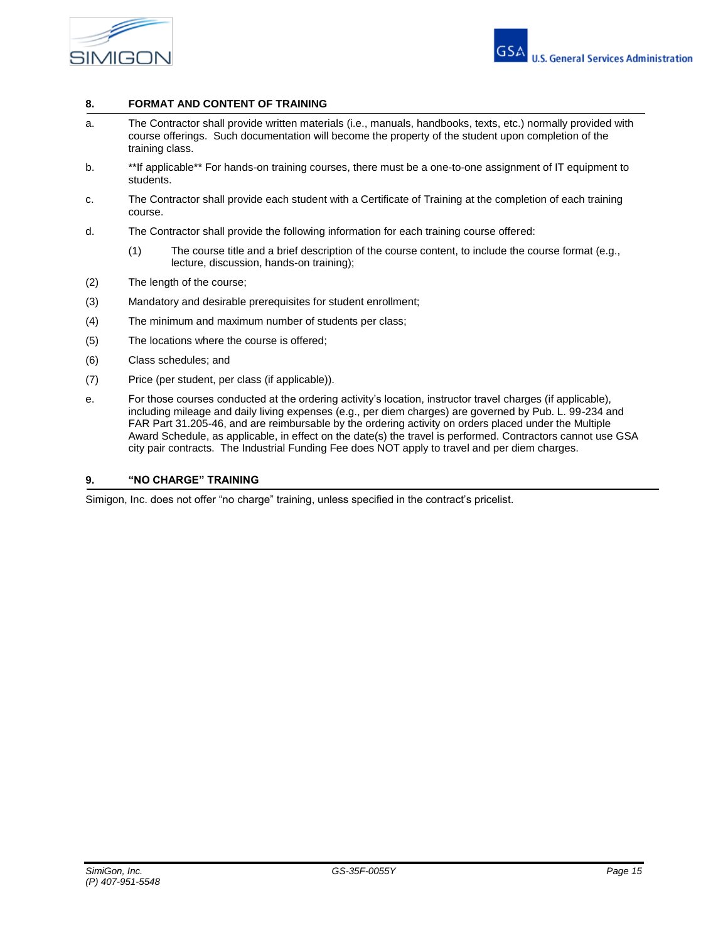

## **8. FORMAT AND CONTENT OF TRAINING**

- a. The Contractor shall provide written materials (i.e., manuals, handbooks, texts, etc.) normally provided with course offerings. Such documentation will become the property of the student upon completion of the training class.
- b. \*\*If applicable\*\* For hands-on training courses, there must be a one-to-one assignment of IT equipment to students.
- c. The Contractor shall provide each student with a Certificate of Training at the completion of each training course.
- d. The Contractor shall provide the following information for each training course offered:
	- (1) The course title and a brief description of the course content, to include the course format (e.g., lecture, discussion, hands-on training);
- (2) The length of the course;
- (3) Mandatory and desirable prerequisites for student enrollment;
- (4) The minimum and maximum number of students per class;
- (5) The locations where the course is offered;
- (6) Class schedules; and
- (7) Price (per student, per class (if applicable)).
- e. For those courses conducted at the ordering activity's location, instructor travel charges (if applicable), including mileage and daily living expenses (e.g., per diem charges) are governed by Pub. L. 99-234 and FAR Part 31.205-46, and are reimbursable by the ordering activity on orders placed under the Multiple Award Schedule, as applicable, in effect on the date(s) the travel is performed. Contractors cannot use GSA city pair contracts. The Industrial Funding Fee does NOT apply to travel and per diem charges.

#### **9. "NO CHARGE" TRAINING**

Simigon, Inc. does not offer "no charge" training, unless specified in the contract's pricelist.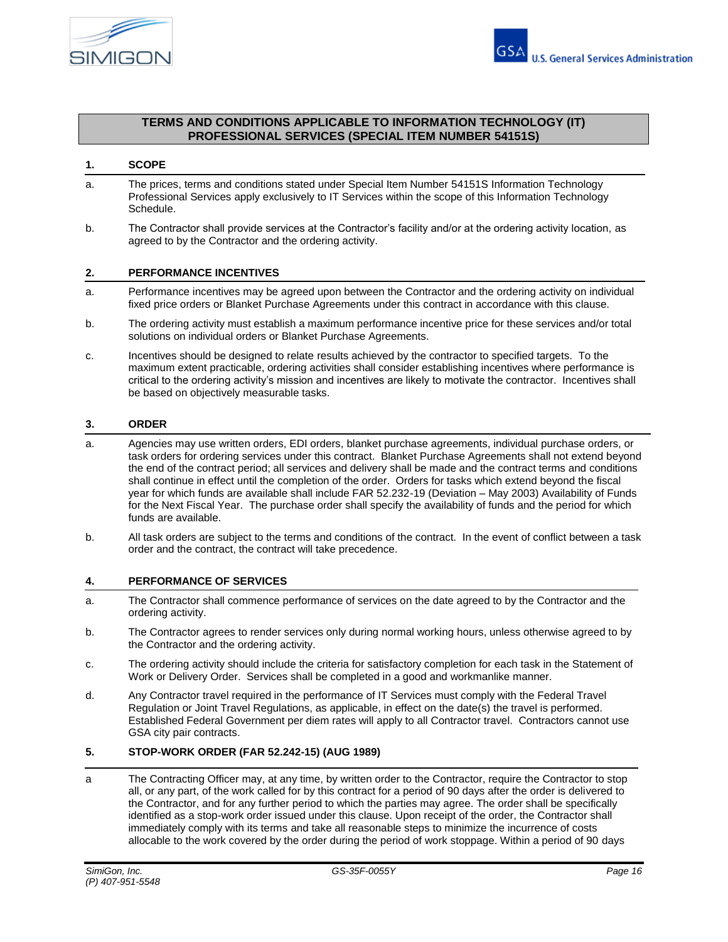

## **TERMS AND CONDITIONS APPLICABLE TO INFORMATION TECHNOLOGY (IT) PROFESSIONAL SERVICES (SPECIAL ITEM NUMBER 54151S)**

## **1. SCOPE**

- a. The prices, terms and conditions stated under Special Item Number 54151S Information Technology Professional Services apply exclusively to IT Services within the scope of this Information Technology Schedule.
- b. The Contractor shall provide services at the Contractor's facility and/or at the ordering activity location, as agreed to by the Contractor and the ordering activity.

#### **2. PERFORMANCE INCENTIVES**

- a. Performance incentives may be agreed upon between the Contractor and the ordering activity on individual fixed price orders or Blanket Purchase Agreements under this contract in accordance with this clause.
- b. The ordering activity must establish a maximum performance incentive price for these services and/or total solutions on individual orders or Blanket Purchase Agreements.
- c. Incentives should be designed to relate results achieved by the contractor to specified targets. To the maximum extent practicable, ordering activities shall consider establishing incentives where performance is critical to the ordering activity's mission and incentives are likely to motivate the contractor. Incentives shall be based on objectively measurable tasks.

#### **3. ORDER**

- a. Agencies may use written orders, EDI orders, blanket purchase agreements, individual purchase orders, or task orders for ordering services under this contract. Blanket Purchase Agreements shall not extend beyond the end of the contract period; all services and delivery shall be made and the contract terms and conditions shall continue in effect until the completion of the order. Orders for tasks which extend beyond the fiscal year for which funds are available shall include FAR 52.232-19 (Deviation – May 2003) Availability of Funds for the Next Fiscal Year. The purchase order shall specify the availability of funds and the period for which funds are available.
- b. All task orders are subject to the terms and conditions of the contract. In the event of conflict between a task order and the contract, the contract will take precedence.

### **4. PERFORMANCE OF SERVICES**

- a. The Contractor shall commence performance of services on the date agreed to by the Contractor and the ordering activity.
- b. The Contractor agrees to render services only during normal working hours, unless otherwise agreed to by the Contractor and the ordering activity.
- c. The ordering activity should include the criteria for satisfactory completion for each task in the Statement of Work or Delivery Order. Services shall be completed in a good and workmanlike manner.
- d. Any Contractor travel required in the performance of IT Services must comply with the Federal Travel Regulation or Joint Travel Regulations, as applicable, in effect on the date(s) the travel is performed. Established Federal Government per diem rates will apply to all Contractor travel. Contractors cannot use GSA city pair contracts.

# **5. STOP-WORK ORDER (FAR 52.242-15) (AUG 1989)**

a The Contracting Officer may, at any time, by written order to the Contractor, require the Contractor to stop all, or any part, of the work called for by this contract for a period of 90 days after the order is delivered to the Contractor, and for any further period to which the parties may agree. The order shall be specifically identified as a stop-work order issued under this clause. Upon receipt of the order, the Contractor shall immediately comply with its terms and take all reasonable steps to minimize the incurrence of costs allocable to the work covered by the order during the period of work stoppage. Within a period of 90 days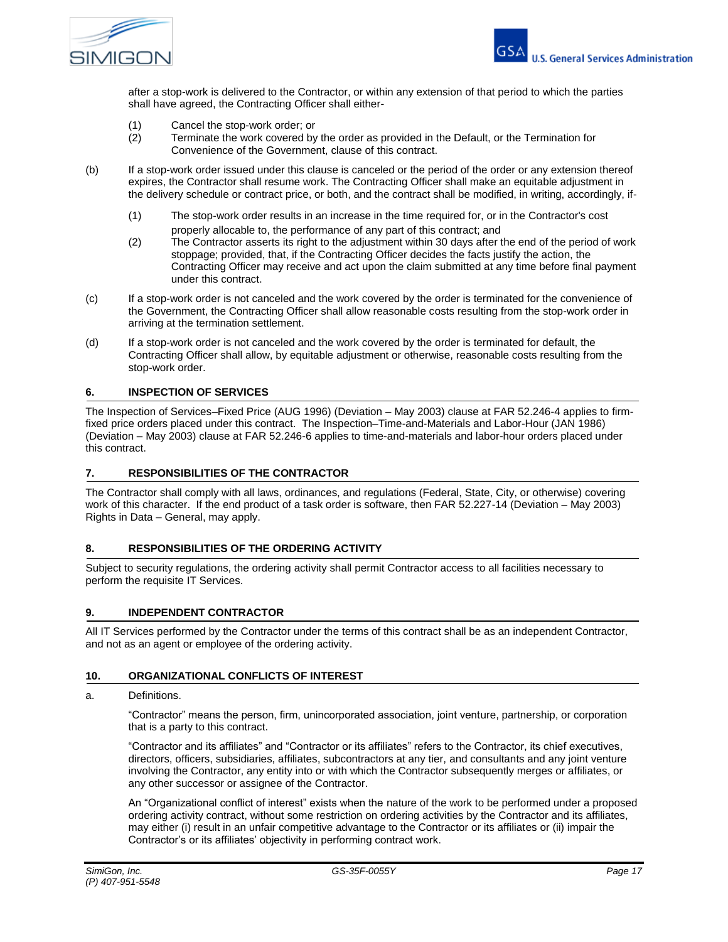

after a stop-work is delivered to the Contractor, or within any extension of that period to which the parties shall have agreed, the Contracting Officer shall either-

- (1) Cancel the stop-work order; or
- (2) Terminate the work covered by the order as provided in the Default, or the Termination for Convenience of the Government, clause of this contract.
- (b) If a stop-work order issued under this clause is canceled or the period of the order or any extension thereof expires, the Contractor shall resume work. The Contracting Officer shall make an equitable adjustment in the delivery schedule or contract price, or both, and the contract shall be modified, in writing, accordingly, if-
	- (1) The stop-work order results in an increase in the time required for, or in the Contractor's cost properly allocable to, the performance of any part of this contract; and
	- (2) The Contractor asserts its right to the adjustment within 30 days after the end of the period of work stoppage; provided, that, if the Contracting Officer decides the facts justify the action, the Contracting Officer may receive and act upon the claim submitted at any time before final payment under this contract.
- (c) If a stop-work order is not canceled and the work covered by the order is terminated for the convenience of the Government, the Contracting Officer shall allow reasonable costs resulting from the stop-work order in arriving at the termination settlement.
- (d) If a stop-work order is not canceled and the work covered by the order is terminated for default, the Contracting Officer shall allow, by equitable adjustment or otherwise, reasonable costs resulting from the stop-work order.

### **6. INSPECTION OF SERVICES**

The Inspection of Services–Fixed Price (AUG 1996) (Deviation – May 2003) clause at FAR 52.246-4 applies to firmfixed price orders placed under this contract. The Inspection–Time-and-Materials and Labor-Hour (JAN 1986) (Deviation – May 2003) clause at FAR 52.246-6 applies to time-and-materials and labor-hour orders placed under this contract.

## **7. RESPONSIBILITIES OF THE CONTRACTOR**

The Contractor shall comply with all laws, ordinances, and regulations (Federal, State, City, or otherwise) covering work of this character. If the end product of a task order is software, then FAR 52.227-14 (Deviation – May 2003) Rights in Data – General, may apply.

## **8. RESPONSIBILITIES OF THE ORDERING ACTIVITY**

Subject to security regulations, the ordering activity shall permit Contractor access to all facilities necessary to perform the requisite IT Services.

#### **9. INDEPENDENT CONTRACTOR**

All IT Services performed by the Contractor under the terms of this contract shall be as an independent Contractor, and not as an agent or employee of the ordering activity.

### **10. ORGANIZATIONAL CONFLICTS OF INTEREST**

#### a. Definitions.

"Contractor" means the person, firm, unincorporated association, joint venture, partnership, or corporation that is a party to this contract.

"Contractor and its affiliates" and "Contractor or its affiliates" refers to the Contractor, its chief executives, directors, officers, subsidiaries, affiliates, subcontractors at any tier, and consultants and any joint venture involving the Contractor, any entity into or with which the Contractor subsequently merges or affiliates, or any other successor or assignee of the Contractor.

An "Organizational conflict of interest" exists when the nature of the work to be performed under a proposed ordering activity contract, without some restriction on ordering activities by the Contractor and its affiliates, may either (i) result in an unfair competitive advantage to the Contractor or its affiliates or (ii) impair the Contractor's or its affiliates' objectivity in performing contract work.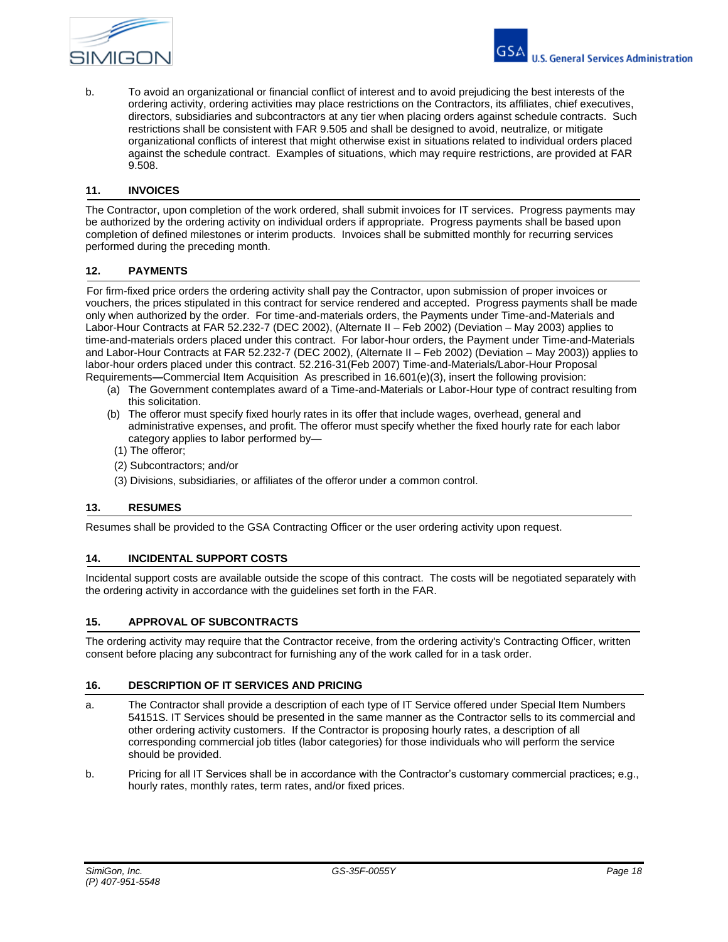

b. To avoid an organizational or financial conflict of interest and to avoid prejudicing the best interests of the ordering activity, ordering activities may place restrictions on the Contractors, its affiliates, chief executives, directors, subsidiaries and subcontractors at any tier when placing orders against schedule contracts. Such restrictions shall be consistent with FAR 9.505 and shall be designed to avoid, neutralize, or mitigate organizational conflicts of interest that might otherwise exist in situations related to individual orders placed against the schedule contract. Examples of situations, which may require restrictions, are provided at FAR 9.508.

## **11. INVOICES**

The Contractor, upon completion of the work ordered, shall submit invoices for IT services. Progress payments may be authorized by the ordering activity on individual orders if appropriate. Progress payments shall be based upon completion of defined milestones or interim products. Invoices shall be submitted monthly for recurring services performed during the preceding month.

#### **12. PAYMENTS**

 For firm-fixed price orders the ordering activity shall pay the Contractor, upon submission of proper invoices or vouchers, the prices stipulated in this contract for service rendered and accepted. Progress payments shall be made only when authorized by the order. For time-and-materials orders, the Payments under Time-and-Materials and Labor-Hour Contracts at FAR 52.232-7 (DEC 2002), (Alternate II – Feb 2002) (Deviation – May 2003) applies to time-and-materials orders placed under this contract. For labor-hour orders, the Payment under Time-and-Materials and Labor-Hour Contracts at FAR 52.232-7 (DEC 2002), (Alternate II – Feb 2002) (Deviation – May 2003)) applies to labor-hour orders placed under this contract. 52.216-31(Feb 2007) Time-and-Materials/Labor-Hour Proposal Requirements**—**Commercial Item Acquisition. As prescribed in 16.601(e)(3), insert the following provision:

- (a) The Government contemplates award of a Time-and-Materials or Labor-Hour type of contract resulting from this solicitation.
- (b) The offeror must specify fixed hourly rates in its offer that include wages, overhead, general and administrative expenses, and profit. The offeror must specify whether the fixed hourly rate for each labor category applies to labor performed by—
- (1) The offeror;
- (2) Subcontractors; and/or
- (3) Divisions, subsidiaries, or affiliates of the offeror under a common control.

#### **13. RESUMES**

Resumes shall be provided to the GSA Contracting Officer or the user ordering activity upon request.

### **14. INCIDENTAL SUPPORT COSTS**

Incidental support costs are available outside the scope of this contract. The costs will be negotiated separately with the ordering activity in accordance with the guidelines set forth in the FAR.

### **15. APPROVAL OF SUBCONTRACTS**

The ordering activity may require that the Contractor receive, from the ordering activity's Contracting Officer, written consent before placing any subcontract for furnishing any of the work called for in a task order.

#### **16. DESCRIPTION OF IT SERVICES AND PRICING**

- a. The Contractor shall provide a description of each type of IT Service offered under Special Item Numbers 54151S. IT Services should be presented in the same manner as the Contractor sells to its commercial and other ordering activity customers. If the Contractor is proposing hourly rates, a description of all corresponding commercial job titles (labor categories) for those individuals who will perform the service should be provided.
- b. Pricing for all IT Services shall be in accordance with the Contractor's customary commercial practices; e.g., hourly rates, monthly rates, term rates, and/or fixed prices.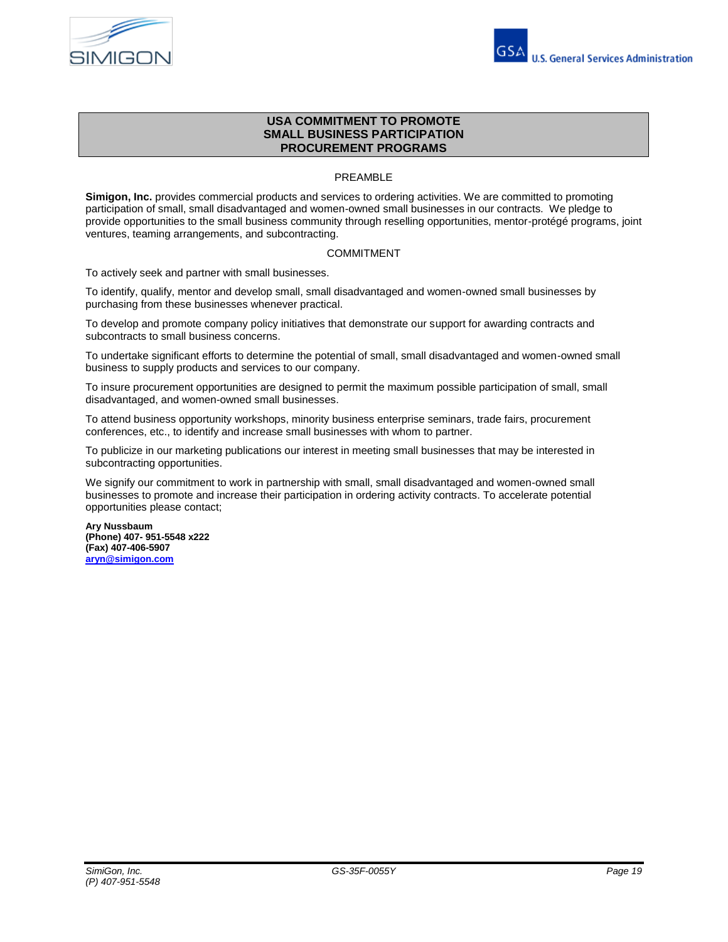



# **USA COMMITMENT TO PROMOTE SMALL BUSINESS PARTICIPATION PROCUREMENT PROGRAMS**

# PREAMBLE

**Simigon, Inc.** provides commercial products and services to ordering activities. We are committed to promoting participation of small, small disadvantaged and women-owned small businesses in our contracts. We pledge to provide opportunities to the small business community through reselling opportunities, mentor-protégé programs, joint ventures, teaming arrangements, and subcontracting.

### COMMITMENT

To actively seek and partner with small businesses.

To identify, qualify, mentor and develop small, small disadvantaged and women-owned small businesses by purchasing from these businesses whenever practical.

To develop and promote company policy initiatives that demonstrate our support for awarding contracts and subcontracts to small business concerns.

To undertake significant efforts to determine the potential of small, small disadvantaged and women-owned small business to supply products and services to our company.

To insure procurement opportunities are designed to permit the maximum possible participation of small, small disadvantaged, and women-owned small businesses.

To attend business opportunity workshops, minority business enterprise seminars, trade fairs, procurement conferences, etc., to identify and increase small businesses with whom to partner.

To publicize in our marketing publications our interest in meeting small businesses that may be interested in subcontracting opportunities.

We signify our commitment to work in partnership with small, small disadvantaged and women-owned small businesses to promote and increase their participation in ordering activity contracts. To accelerate potential opportunities please contact;

**Ary Nussbaum (Phone) 407- 951-5548 x222 (Fax) 407-406-5907 [aryn@simigon.com](mailto:aryn@simigon.com)**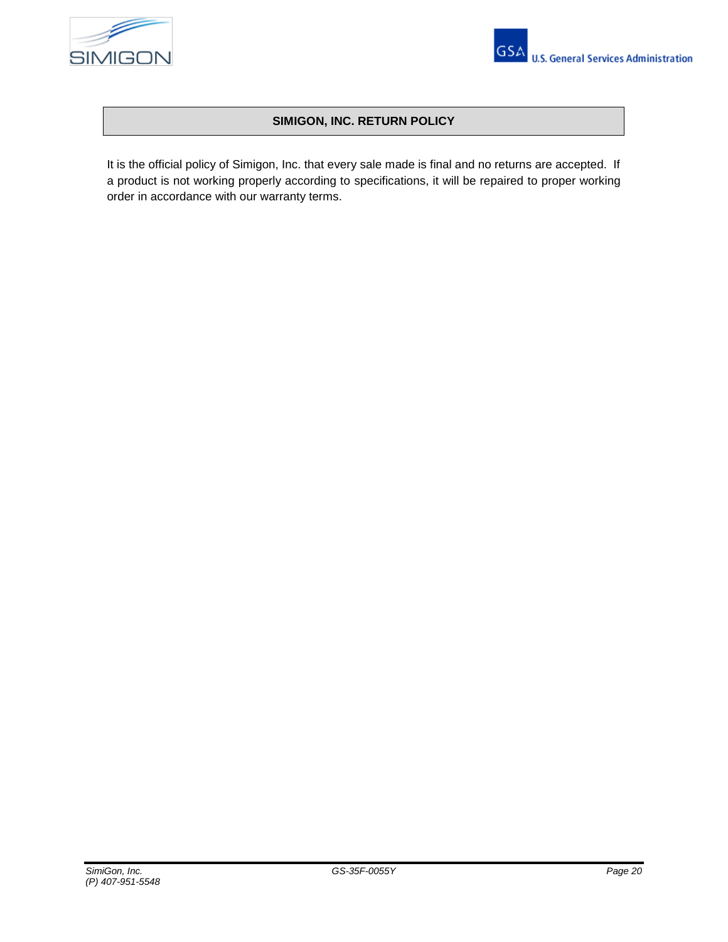



# **SIMIGON, INC. RETURN POLICY**

It is the official policy of Simigon, Inc. that every sale made is final and no returns are accepted. If a product is not working properly according to specifications, it will be repaired to proper working order in accordance with our warranty terms.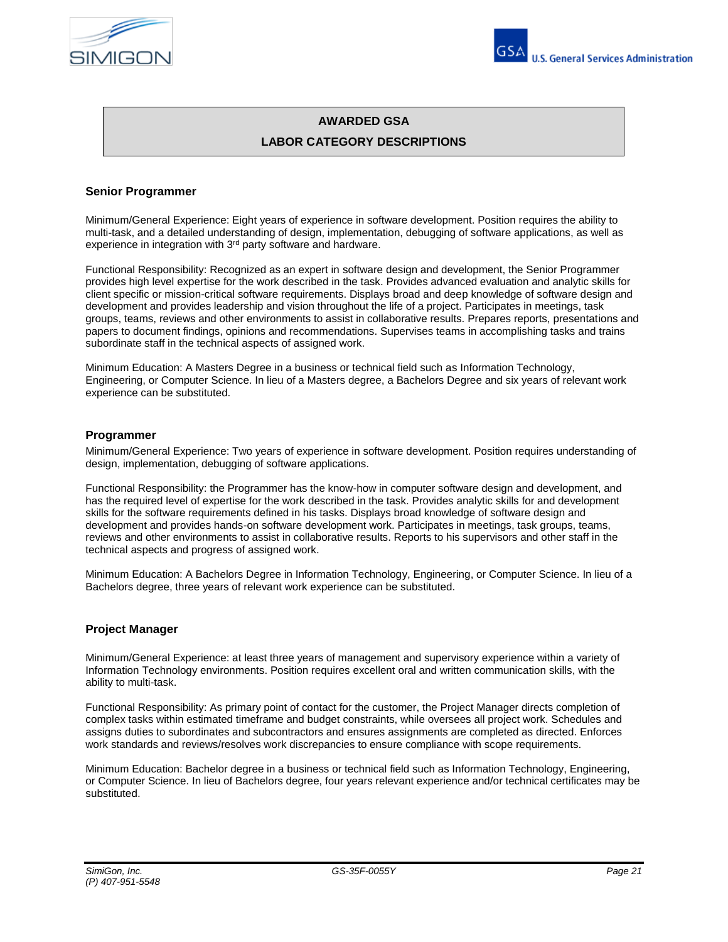



# **AWARDED GSA**

# **LABOR CATEGORY DESCRIPTIONS**

## **Senior Programmer**

Minimum/General Experience: Eight years of experience in software development. Position requires the ability to multi-task, and a detailed understanding of design, implementation, debugging of software applications, as well as experience in integration with 3<sup>rd</sup> party software and hardware.

Functional Responsibility: Recognized as an expert in software design and development, the Senior Programmer provides high level expertise for the work described in the task. Provides advanced evaluation and analytic skills for client specific or mission-critical software requirements. Displays broad and deep knowledge of software design and development and provides leadership and vision throughout the life of a project. Participates in meetings, task groups, teams, reviews and other environments to assist in collaborative results. Prepares reports, presentations and papers to document findings, opinions and recommendations. Supervises teams in accomplishing tasks and trains subordinate staff in the technical aspects of assigned work.

Minimum Education: A Masters Degree in a business or technical field such as Information Technology, Engineering, or Computer Science. In lieu of a Masters degree, a Bachelors Degree and six years of relevant work experience can be substituted.

### **Programmer**

Minimum/General Experience: Two years of experience in software development. Position requires understanding of design, implementation, debugging of software applications.

Functional Responsibility: the Programmer has the know-how in computer software design and development, and has the required level of expertise for the work described in the task. Provides analytic skills for and development skills for the software requirements defined in his tasks. Displays broad knowledge of software design and development and provides hands-on software development work. Participates in meetings, task groups, teams, reviews and other environments to assist in collaborative results. Reports to his supervisors and other staff in the technical aspects and progress of assigned work.

Minimum Education: A Bachelors Degree in Information Technology, Engineering, or Computer Science. In lieu of a Bachelors degree, three years of relevant work experience can be substituted.

## **Project Manager**

Minimum/General Experience: at least three years of management and supervisory experience within a variety of Information Technology environments. Position requires excellent oral and written communication skills, with the ability to multi-task.

Functional Responsibility: As primary point of contact for the customer, the Project Manager directs completion of complex tasks within estimated timeframe and budget constraints, while oversees all project work. Schedules and assigns duties to subordinates and subcontractors and ensures assignments are completed as directed. Enforces work standards and reviews/resolves work discrepancies to ensure compliance with scope requirements.

Minimum Education: Bachelor degree in a business or technical field such as Information Technology, Engineering, or Computer Science. In lieu of Bachelors degree, four years relevant experience and/or technical certificates may be substituted.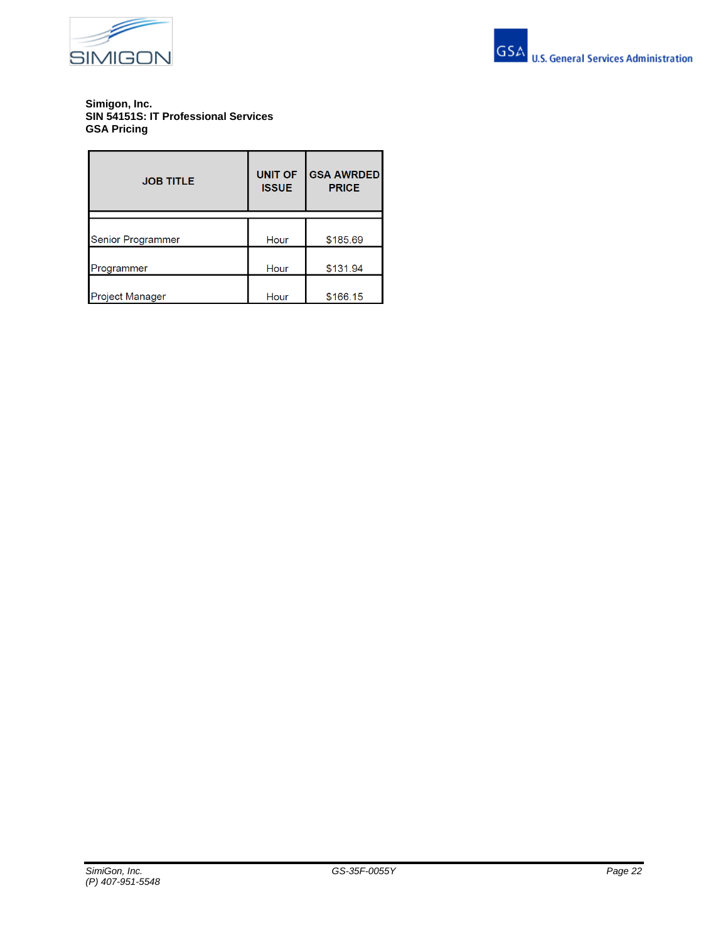



### **Simigon, Inc. SIN 54151S: IT Professional Services GSA Pricing**

| <b>JOB TITLE</b>       | <b>UNIT OF</b><br><b>ISSUE</b> | <b>GSA AWRDED</b><br><b>PRICE</b> |
|------------------------|--------------------------------|-----------------------------------|
| Senior Programmer      | Hour                           | \$185.69                          |
| Programmer             | Hour                           | \$131.94                          |
| <b>Project Manager</b> | Hour                           | \$166.15                          |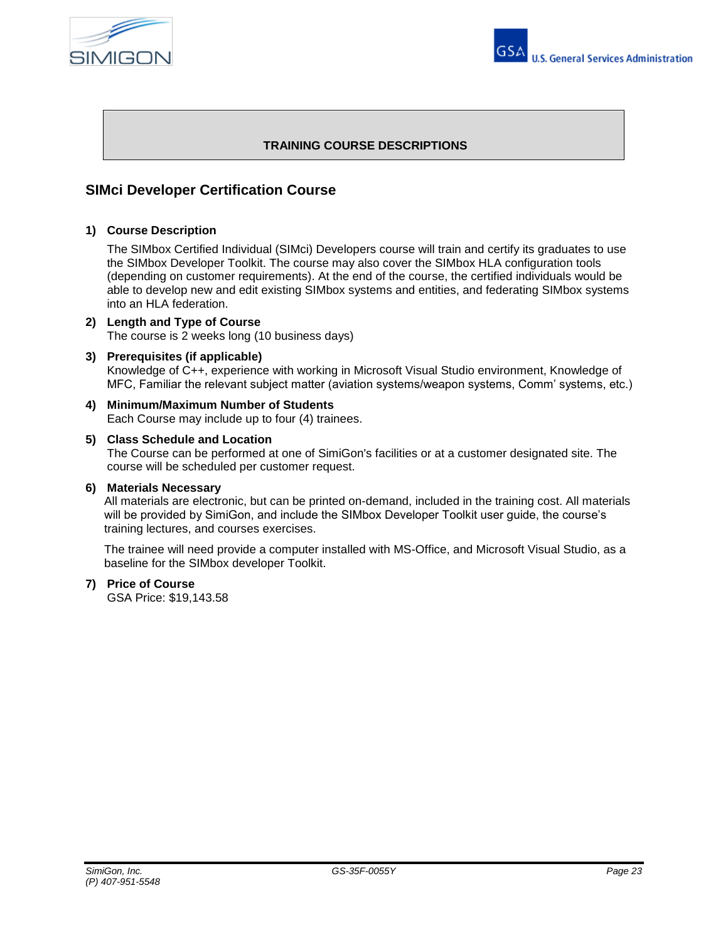



# **TRAINING COURSE DESCRIPTIONS**

# **SIMci Developer Certification Course**

## **1) Course Description**

The SIMbox Certified Individual (SIMci) Developers course will train and certify its graduates to use the SIMbox Developer Toolkit. The course may also cover the SIMbox HLA configuration tools (depending on customer requirements). At the end of the course, the certified individuals would be able to develop new and edit existing SIMbox systems and entities, and federating SIMbox systems into an HLA federation.

#### **2) Length and Type of Course** The course is 2 weeks long (10 business days)

## **3) Prerequisites (if applicable)**

Knowledge of C++, experience with working in Microsoft Visual Studio environment, Knowledge of MFC, Familiar the relevant subject matter (aviation systems/weapon systems, Comm' systems, etc.)

**4) Minimum/Maximum Number of Students** Each Course may include up to four (4) trainees.

## **5) Class Schedule and Location**

The Course can be performed at one of SimiGon's facilities or at a customer designated site. The course will be scheduled per customer request.

# **6) Materials Necessary**

All materials are electronic, but can be printed on-demand, included in the training cost. All materials will be provided by SimiGon, and include the SIMbox Developer Toolkit user guide, the course's training lectures, and courses exercises.

The trainee will need provide a computer installed with MS-Office, and Microsoft Visual Studio, as a baseline for the SIMbox developer Toolkit.

## **7) Price of Course**

GSA Price: \$19,143.58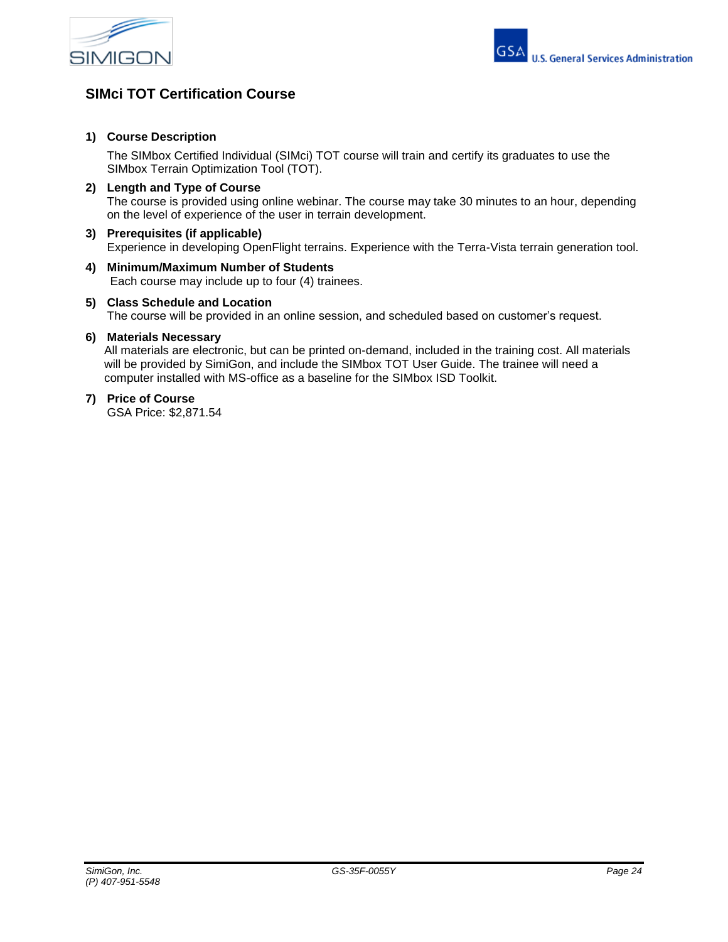



# **SIMci TOT Certification Course**

# **1) Course Description**

The SIMbox Certified Individual (SIMci) TOT course will train and certify its graduates to use the SIMbox Terrain Optimization Tool (TOT).

- **2) Length and Type of Course** The course is provided using online webinar. The course may take 30 minutes to an hour, depending on the level of experience of the user in terrain development.
- **3) Prerequisites (if applicable)** Experience in developing OpenFlight terrains. Experience with the Terra-Vista terrain generation tool.
- **4) Minimum/Maximum Number of Students** Each course may include up to four (4) trainees.
- **5) Class Schedule and Location**

The course will be provided in an online session, and scheduled based on customer's request.

# **6) Materials Necessary**

All materials are electronic, but can be printed on-demand, included in the training cost. All materials will be provided by SimiGon, and include the SIMbox TOT User Guide. The trainee will need a computer installed with MS-office as a baseline for the SIMbox ISD Toolkit.

# **7) Price of Course**

GSA Price: \$2,871.54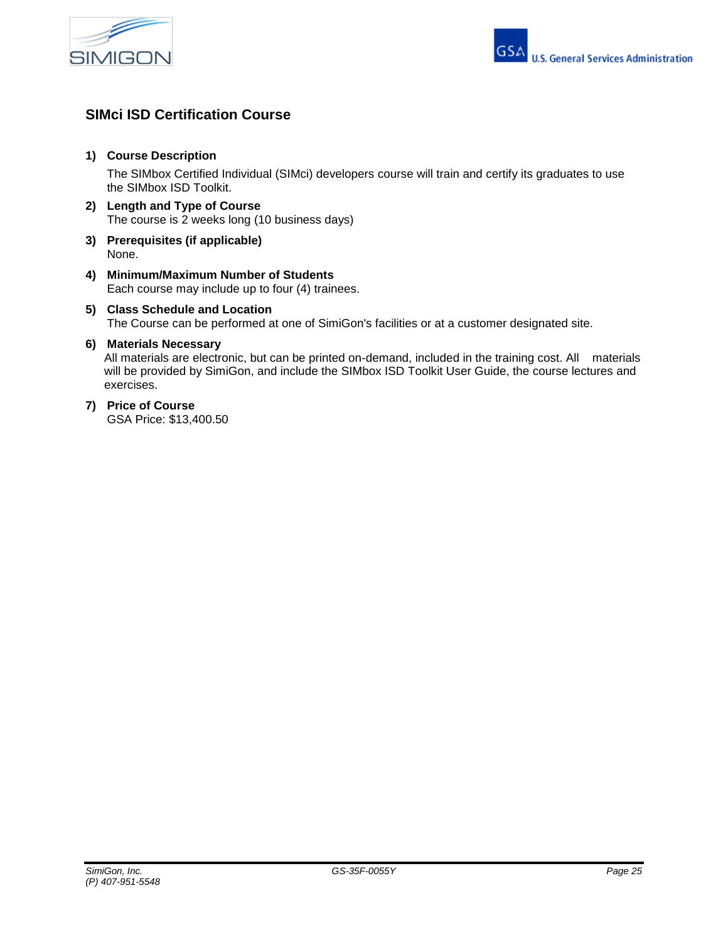



# **SIMci ISD Certification Course**

# **1) Course Description**

The SIMbox Certified Individual (SIMci) developers course will train and certify its graduates to use the SIMbox ISD Toolkit.

- **2) Length and Type of Course** The course is 2 weeks long (10 business days)
- **3) Prerequisites (if applicable)** None.
- **4) Minimum/Maximum Number of Students** Each course may include up to four (4) trainees.

# **5) Class Schedule and Location**  The Course can be performed at one of SimiGon's facilities or at a customer designated site.

# **6) Materials Necessary**

All materials are electronic, but can be printed on-demand, included in the training cost. All materials will be provided by SimiGon, and include the SIMbox ISD Toolkit User Guide, the course lectures and exercises.

# **7) Price of Course**

GSA Price: \$13,400.50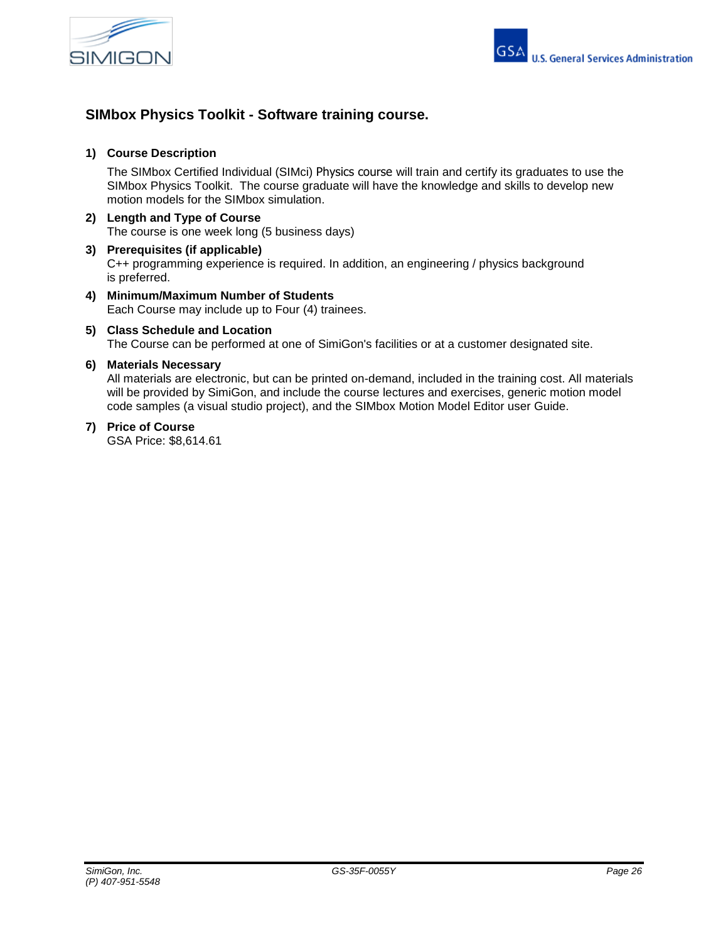



# **SIMbox Physics Toolkit - Software training course.**

# **1) Course Description**

The SIMbox Certified Individual (SIMci) Physics course will train and certify its graduates to use the SIMbox Physics Toolkit. The course graduate will have the knowledge and skills to develop new motion models for the SIMbox simulation.

- **2) Length and Type of Course** The course is one week long (5 business days)
- **3) Prerequisites (if applicable)** C++ programming experience is required. In addition, an engineering / physics background is preferred.
- **4) Minimum/Maximum Number of Students** Each Course may include up to Four (4) trainees.
- **5) Class Schedule and Location**  The Course can be performed at one of SimiGon's facilities or at a customer designated site.

## **6) Materials Necessary**

All materials are electronic, but can be printed on-demand, included in the training cost. All materials will be provided by SimiGon, and include the course lectures and exercises, generic motion model code samples (a visual studio project), and the SIMbox Motion Model Editor user Guide.

# **7) Price of Course**

GSA Price: \$8,614.61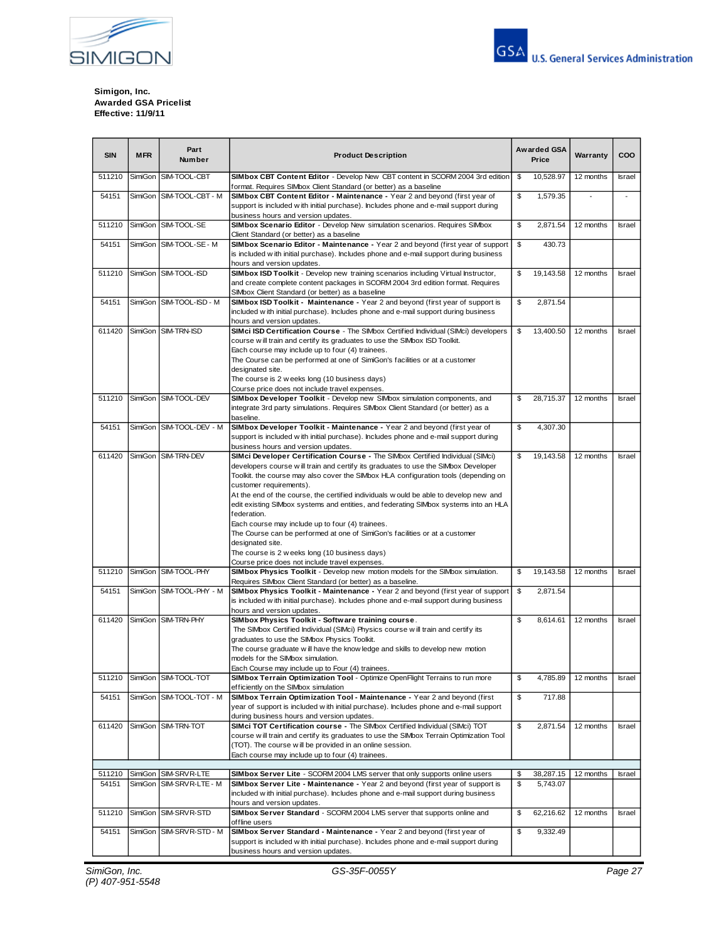



**Simigon, Inc. Awarded GSA Pricelist Effective: 11/9/11**

| <b>SIN</b> | <b>MFR</b> | Part<br>Number           | Awarded GSA<br><b>Product Description</b><br>Price                                                                                                                                                                                                                                                                                                                                                                                                                                                                                                                                                                                                                                                                                                 |                                                                    | Warranty  | COO       |               |
|------------|------------|--------------------------|----------------------------------------------------------------------------------------------------------------------------------------------------------------------------------------------------------------------------------------------------------------------------------------------------------------------------------------------------------------------------------------------------------------------------------------------------------------------------------------------------------------------------------------------------------------------------------------------------------------------------------------------------------------------------------------------------------------------------------------------------|--------------------------------------------------------------------|-----------|-----------|---------------|
| 511210     | SimiGon    | SIM-TOOL-CBT             | SIMbox CBT Content Editor - Develop New CBT content in SCORM 2004 3rd edition<br>format. Requires SIMbox Client Standard (or better) as a baseline                                                                                                                                                                                                                                                                                                                                                                                                                                                                                                                                                                                                 | \$                                                                 | 10,528.97 | 12 months | Israel        |
| 54151      | SimiGon    | SIM-TOOL-CBT - M         | SIMbox CBT Content Editor - Maintenance - Year 2 and beyond (first year of<br>support is included w ith initial purchase). Includes phone and e-mail support during<br>business hours and version updates.                                                                                                                                                                                                                                                                                                                                                                                                                                                                                                                                         | \$                                                                 | 1,579.35  |           |               |
| 511210     |            | SimiGon SIM-TOOL-SE      | SIMbox Scenario Editor - Develop New simulation scenarios. Requires SIMbox<br>Client Standard (or better) as a baseline                                                                                                                                                                                                                                                                                                                                                                                                                                                                                                                                                                                                                            | 12 months                                                          | Israel    |           |               |
| 54151      | SimiGon    | SIM-TOOL-SE - M          | SIMbox Scenario Editor - Maintenance - Year 2 and beyond (first year of support<br>is included with initial purchase). Includes phone and e-mail support during business<br>hours and version updates.                                                                                                                                                                                                                                                                                                                                                                                                                                                                                                                                             |                                                                    |           |           |               |
| 511210     |            | SimiGon SIM-TOOL-ISD     | SIMbox ISD Toolkit - Develop new training scenarios including Virtual Instructor,<br>and create complete content packages in SCORM 2004 3rd edition format. Requires                                                                                                                                                                                                                                                                                                                                                                                                                                                                                                                                                                               | \$                                                                 | 19,143.58 | 12 months | <b>Israel</b> |
| 54151      |            | SimiGon SIM-TOOL-ISD - M | <b>SIMbox ISD Toolkit - Maintenance - Year 2 and beyond (first year of support is</b><br>included w ith initial purchase). Includes phone and e-mail support during business<br>hours and version updates.                                                                                                                                                                                                                                                                                                                                                                                                                                                                                                                                         | SIMbox Client Standard (or better) as a baseline<br>\$<br>2,871.54 |           |           |               |
| 611420     |            | SimiGon SIM-TRN-ISD      | SIMci ISD Certification Course - The SIMbox Certified Individual (SIMci) developers<br>\$<br>course w ill train and certify its graduates to use the SIMbox ISD Toolkit.<br>Each course may include up to four (4) trainees.<br>The Course can be performed at one of SimiGon's facilities or at a customer<br>designated site.<br>The course is 2 w eeks long (10 business days)                                                                                                                                                                                                                                                                                                                                                                  |                                                                    | 13,400.50 | 12 months | <b>Israel</b> |
| 511210     | SimiGon    | SIM-TOOL-DEV             | Course price does not include travel expenses.<br>SIMbox Developer Toolkit - Develop new SIMbox simulation components, and<br>integrate 3rd party simulations. Requires SIMbox Client Standard (or better) as a<br>baseline.                                                                                                                                                                                                                                                                                                                                                                                                                                                                                                                       | \$                                                                 | 28,715.37 | 12 months | <b>Israel</b> |
| 54151      | SimiGon    | SIM-TOOL-DEV - M         | SIMbox Developer Toolkit - Maintenance - Year 2 and beyond (first year of<br>support is included w ith initial purchase). Includes phone and e-mail support during<br>business hours and version updates.                                                                                                                                                                                                                                                                                                                                                                                                                                                                                                                                          | \$<br>4,307.30                                                     |           |           |               |
| 611420     | SimiGon    | SIM-TRN-DEV              | SIMci Developer Certification Course - The SIMbox Certified Individual (SIMci)<br>developers course w ill train and certify its graduates to use the SIMbox Developer<br>Toolkit. the course may also cover the SIMbox HLA configuration tools (depending on<br>customer requirements).<br>At the end of the course, the certified individuals w ould be able to develop new and<br>edit existing SIMbox systems and entities, and federating SIMbox systems into an HLA<br>federation.<br>Each course may include up to four (4) trainees.<br>The Course can be performed at one of SimiGon's facilities or at a customer<br>designated site.<br>The course is 2 w eeks long (10 business days)<br>Course price does not include travel expenses. | \$                                                                 | 19,143.58 | 12 months | <b>Israel</b> |
| 511210     | SimiGon    | SIM-TOOL-PHY             | SIMbox Physics Toolkit - Develop new motion models for the SIMbox simulation.<br>Requires SIMbox Client Standard (or better) as a baseline.                                                                                                                                                                                                                                                                                                                                                                                                                                                                                                                                                                                                        | \$                                                                 | 19,143.58 | 12 months | <b>Israel</b> |
| 54151      | SimiGon    | SIM-TOOL-PHY - M         | SIMbox Physics Toolkit - Maintenance - Year 2 and beyond (first year of support<br>is included with initial purchase). Includes phone and e-mail support during business<br>hours and version updates.                                                                                                                                                                                                                                                                                                                                                                                                                                                                                                                                             | \$                                                                 | 2,871.54  |           |               |
| 611420     | SimiGon    | SIM-TRN-PHY              | SIMbox Physics Toolkit - Software training course.<br>The SIMbox Certified Individual (SIMci) Physics course will train and certify its<br>graduates to use the SIMbox Physics Toolkit.<br>The course graduate w ill have the know ledge and skills to develop new motion<br>models for the SIMbox simulation.<br>Each Course may include up to Four (4) trainees.                                                                                                                                                                                                                                                                                                                                                                                 | \$                                                                 | 8,614.61  | 12 months | <b>Israel</b> |
| 511210     |            | SimiGon SIM-TOOL-TOT     | SIMbox Terrain Optimization Tool - Optimize OpenFlight Terrains to run more<br>efficiently on the SIMbox simulation                                                                                                                                                                                                                                                                                                                                                                                                                                                                                                                                                                                                                                | \$<br>4,785.89                                                     |           | 12 months | Israel        |
| 54151      | SimiGon    | SIM-TOOL-TOT - M         | SIMbox Terrain Optimization Tool - Maintenance - Year 2 and beyond (first<br>year of support is included w ith initial purchase). Includes phone and e-mail support<br>during business hours and version updates.                                                                                                                                                                                                                                                                                                                                                                                                                                                                                                                                  | \$<br>717.88                                                       |           |           |               |
| 611420     | SimiGon    | SIM-TRN-TOT              | \$<br>SIMci TOT Certification course - The SIMbox Certified Individual (SIMci) TOT<br>course w ill train and certify its graduates to use the SIMbox Terrain Optimization Tool<br>(TOT). The course w ill be provided in an online session.<br>Each course may include up to four (4) trainees.                                                                                                                                                                                                                                                                                                                                                                                                                                                    |                                                                    | 2,871.54  | 12 months | <b>Israel</b> |
| 511210     |            | SimiGon SIM-SRVR-LTE     | <b>SIMbox Server Lite</b> - SCORM 2004 LMS server that only supports online users                                                                                                                                                                                                                                                                                                                                                                                                                                                                                                                                                                                                                                                                  | \$                                                                 | 38,287.15 | 12 months | Israel        |
| 54151      | SimiGon    | SIM-SRVR-LTE - M         | SIMbox Server Lite - Maintenance - Year 2 and beyond (first year of support is<br>included w ith initial purchase). Includes phone and e-mail support during business<br>hours and version updates.                                                                                                                                                                                                                                                                                                                                                                                                                                                                                                                                                | \$                                                                 | 5,743.07  |           |               |
| 511210     | SimiGon    | SIM-SRVR-STD             | SIMbox Server Standard - SCORM 2004 LMS server that supports online and<br>offline users                                                                                                                                                                                                                                                                                                                                                                                                                                                                                                                                                                                                                                                           | \$                                                                 | 62,216.62 | 12 months | Israel        |
| 54151      | SimiGon    | SIM-SRVR-STD - M         | SIMbox Server Standard - Maintenance - Year 2 and beyond (first year of<br>support is included with initial purchase). Includes phone and e-mail support during<br>business hours and version updates.                                                                                                                                                                                                                                                                                                                                                                                                                                                                                                                                             | \$                                                                 | 9,332.49  |           |               |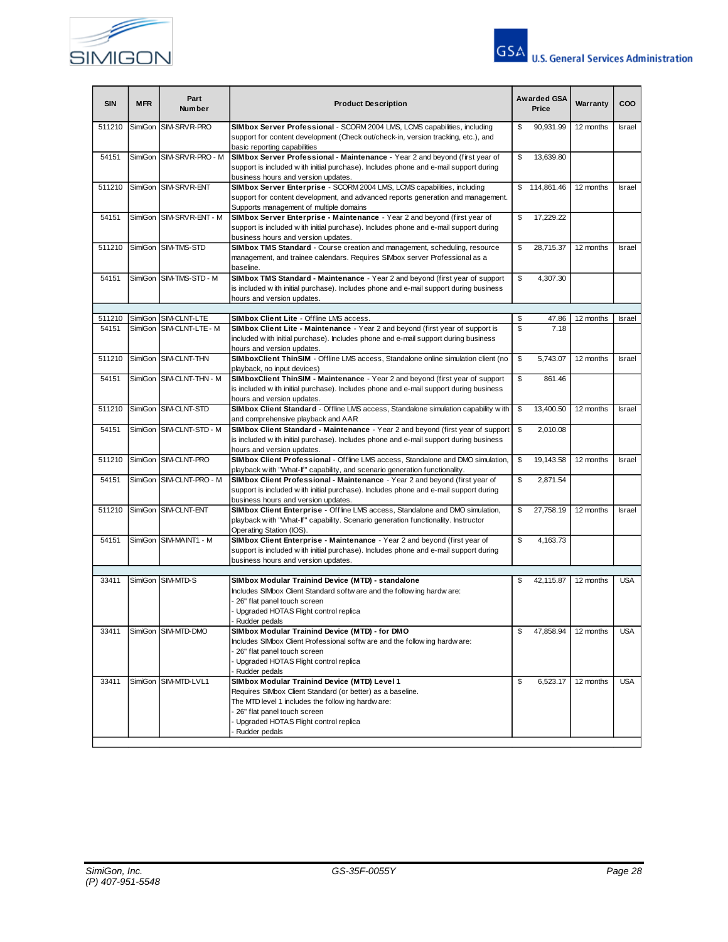



| <b>SIN</b> | Part<br><b>MFR</b><br><b>Product Description</b><br><b>Number</b> |                          |                                                                                                                                                                                                                                                           |                 | Awarded GSA<br>Price | Warranty  | COO           |
|------------|-------------------------------------------------------------------|--------------------------|-----------------------------------------------------------------------------------------------------------------------------------------------------------------------------------------------------------------------------------------------------------|-----------------|----------------------|-----------|---------------|
| 511210     | SimiGon                                                           | SIM-SRVR-PRO             | SIMbox Server Professional - SCORM 2004 LMS, LCMS capabilities, including<br>support for content development (Check out/check-in, version tracking, etc.), and<br>basic reporting capabilities                                                            | \$              | 90,931.99            | 12 months | <b>Israel</b> |
| 54151      |                                                                   | SimiGon SIM-SRVR-PRO - M | SIMbox Server Professional - Maintenance - Year 2 and beyond (first year of<br>support is included with initial purchase). Includes phone and e-mail support during<br>business hours and version updates.                                                | \$              | 13,639.80            |           |               |
| 511210     |                                                                   | SimiGon SIM-SRVR-ENT     | SIMbox Server Enterprise - SCORM 2004 LMS, LCMS capabilities, including<br>support for content development, and advanced reports generation and management.<br>Supports management of multiple domains                                                    |                 | \$114,861.46         | 12 months | <b>Israel</b> |
| 54151      | SimiGon                                                           | SIM-SRVR-ENT - M         | SIMbox Server Enterprise - Maintenance - Year 2 and beyond (first year of<br>support is included with initial purchase). Includes phone and e-mail support during<br>business hours and version updates.                                                  | \$              | 17,229.22            |           |               |
| 511210     | SimiGon                                                           | SIM-TMS-STD              | SIMbox TMS Standard - Course creation and management, scheduling, resource<br>\$<br>management, and trainee calendars. Requires SIMbox server Professional as a<br>baseline.                                                                              |                 | 28,715.37            | 12 months | <b>Israel</b> |
| 54151      |                                                                   | SimiGon SIM-TMS-STD - M  | SIMbox TMS Standard - Maintenance - Year 2 and beyond (first year of support<br>is included with initial purchase). Includes phone and e-mail support during business<br>hours and version updates.                                                       | \$              | 4,307.30             |           |               |
| 511210     | SimiGon                                                           | SIM-CLNT-LTE             | SIMbox Client Lite - Offline LMS access.                                                                                                                                                                                                                  | \$              | 47.86                | 12 months | Israel        |
| 54151      | SimiGon                                                           | SIM-CLNT-LTE - M         | SIMbox Client Lite - Maintenance - Year 2 and beyond (first year of support is<br>included with initial purchase). Includes phone and e-mail support during business<br>hours and version updates.                                                        | \$              | 7.18                 |           |               |
| 511210     | SimiGon                                                           | SIM-CLNT-THN             | SIMboxClient ThinSIM - Offline LMS access, Standalone online simulation client (no<br>playback, no input devices)                                                                                                                                         | \$              | 5.743.07             | 12 months | <b>Israel</b> |
| 54151      |                                                                   | SimiGon SIM-CLNT-THN - M | SIMboxClient ThinSIM - Maintenance - Year 2 and beyond (first year of support<br>is included with initial purchase). Includes phone and e-mail support during business<br>hours and version updates.                                                      | \$<br>861.46    |                      |           |               |
| 511210     |                                                                   | SimiGon SIM-CLNT-STD     | SIMbox Client Standard - Offline LMS access, Standalone simulation capability with<br>\$<br>and comprehensive playback and AAR                                                                                                                            |                 | 13,400.50            | 12 months | <b>Israel</b> |
| 54151      |                                                                   | SimiGon SIM-CLNT-STD - M | SIMbox Client Standard - Maintenance - Year 2 and beyond (first year of support<br>\$<br>2,010.08<br>is included with initial purchase). Includes phone and e-mail support during business<br>hours and version updates.                                  |                 |                      |           |               |
| 511210     |                                                                   | SimiGon SIM-CLNT-PRO     | SIMbox Client Professional - Offline LMS access, Standalone and DMO simulation,<br>playback w ith "What-If" capability, and scenario generation functionality.                                                                                            | \$<br>19,143.58 |                      | 12 months | <b>Israel</b> |
| 54151      | SimiGon                                                           | SIM-CLNT-PRO - M         | SIMbox Client Professional - Maintenance - Year 2 and beyond (first year of<br>\$<br>support is included with initial purchase). Includes phone and e-mail support during<br>business hours and version updates.                                          |                 | 2,871.54             |           |               |
| 511210     |                                                                   | SimiGon SIM-CLNT-ENT     | SIMbox Client Enterprise - Offline LMS access, Standalone and DMO simulation,<br>playback with "What-If" capability. Scenario generation functionality. Instructor<br>Operating Station (IOS).                                                            | \$              | 27,758.19            | 12 months | <b>Israel</b> |
| 54151      | SimiGon                                                           | SIM-MAINT1 - M           | SIMbox Client Enterprise - Maintenance - Year 2 and beyond (first year of<br>support is included with initial purchase). Includes phone and e-mail support during<br>business hours and version updates.                                                  | \$              | 4,163.73             |           |               |
|            |                                                                   |                          |                                                                                                                                                                                                                                                           |                 |                      |           |               |
| 33411      | SimiGon                                                           | SIM-MTD-S                | SIMbox Modular Trainind Device (MTD) - standalone<br>Includes SIMbox Client Standard softw are and the following hardware:<br>26" flat panel touch screen<br>Upgraded HOTAS Flight control replica<br>Rudder pedals                                       | \$              | 42,115.87            | 12 months | <b>USA</b>    |
| 33411      | SimiGon                                                           | SIM-MTD-DMO              | SIMbox Modular Trainind Device (MTD) - for DMO<br>Includes SIMbox Client Professional softw are and the follow ing hardw are:<br>26" flat panel touch screen<br>Upgraded HOTAS Flight control replica<br>Rudder pedals                                    | \$              | 47,858.94            | 12 months | <b>USA</b>    |
| 33411      |                                                                   | SimiGon SIM-MTD-LVL1     | SIMbox Modular Trainind Device (MTD) Level 1<br>Requires SIMbox Client Standard (or better) as a baseline.<br>The MTD level 1 includes the follow ing hardw are:<br>26" flat panel touch screen<br>Upgraded HOTAS Flight control replica<br>Rudder pedals | \$              | 6,523.17             | 12 months | <b>USA</b>    |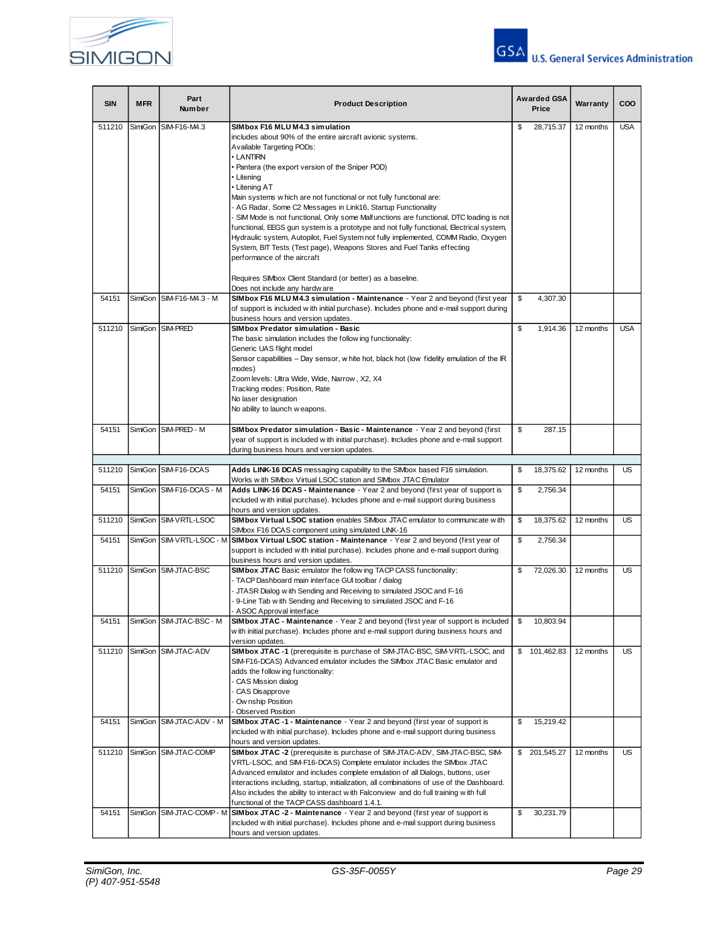



| <b>SIN</b> | <b>MFR</b> | Part<br><b>Number</b>    | Awarded GSA<br><b>Product Description</b><br>Price                                                                                                          |    | Warranty      | COO       |            |
|------------|------------|--------------------------|-------------------------------------------------------------------------------------------------------------------------------------------------------------|----|---------------|-----------|------------|
| 511210     | SimiGon    | SIM-F16-M4.3             | SIMbox F16 MLU M4.3 simulation                                                                                                                              | \$ | 28.715.37     | 12 months | <b>USA</b> |
|            |            |                          | includes about 90% of the entire aircraft avionic systems.                                                                                                  |    |               |           |            |
|            |            |                          | Available Targeting PODs:                                                                                                                                   |    |               |           |            |
|            |            |                          | • LANTIRN                                                                                                                                                   |    |               |           |            |
|            |            |                          | • Pantera (the export version of the Sniper POD)<br>• Litening                                                                                              |    |               |           |            |
|            |            |                          | • Litening AT                                                                                                                                               |    |               |           |            |
|            |            |                          | Main systems w hich are not functional or not fully functional are:                                                                                         |    |               |           |            |
|            |            |                          | - AG Radar, Some C2 Messages in Link16, Startup Functionality                                                                                               |    |               |           |            |
|            |            |                          | - SIM Mode is not functional, Only some Malfunctions are functional, DTC loading is not                                                                     |    |               |           |            |
|            |            |                          | functional, EEGS gun system is a prototype and not fully functional, Electrical system,                                                                     |    |               |           |            |
|            |            |                          | Hydraulic system, Autopilot, Fuel System not fully implemented, COMM Radio, Oxygen                                                                          |    |               |           |            |
|            |            |                          | System, BIT Tests (Test page), Weapons Stores and Fuel Tanks effecting<br>performance of the aircraft                                                       |    |               |           |            |
|            |            |                          |                                                                                                                                                             |    |               |           |            |
|            |            |                          | Requires SIMbox Client Standard (or better) as a baseline.                                                                                                  |    |               |           |            |
|            |            |                          | Does not include any hardw are                                                                                                                              |    |               |           |            |
| 54151      |            | SimiGon SIM-F16-M4.3 - M | SIMbox F16 MLU M4.3 simulation - Maintenance - Year 2 and beyond (first year                                                                                | \$ | 4,307.30      |           |            |
|            |            |                          | of support is included with initial purchase). Includes phone and e-mail support during                                                                     |    |               |           |            |
| 511210     |            | SimiGon SIM-PRED         | business hours and version updates.<br>SIMbox Predator simulation - Basic                                                                                   | \$ | 1,914.36      | 12 months | <b>USA</b> |
|            |            |                          | The basic simulation includes the follow ing functionality:                                                                                                 |    |               |           |            |
|            |            |                          | Generic UAS flight model                                                                                                                                    |    |               |           |            |
|            |            |                          | Sensor capabilities - Day sensor, w hite hot, black hot (low fidelity emulation of the IR                                                                   |    |               |           |            |
|            |            |                          | modes)                                                                                                                                                      |    |               |           |            |
|            |            |                          | Zoom levels: Ultra Wide, Wide, Narrow, X2, X4                                                                                                               |    |               |           |            |
|            |            |                          | Tracking modes: Position, Rate                                                                                                                              |    |               |           |            |
|            |            |                          | No laser designation<br>No ability to launch w eapons.                                                                                                      |    |               |           |            |
|            |            |                          |                                                                                                                                                             |    |               |           |            |
| 54151      |            | SimiGon SIM-PRED - M     | SIMbox Predator simulation - Basic - Maintenance - Year 2 and beyond (first                                                                                 | \$ | 287.15        |           |            |
|            |            |                          | year of support is included with initial purchase). Includes phone and e-mail support                                                                       |    |               |           |            |
|            |            |                          | during business hours and version updates.                                                                                                                  |    |               |           |            |
| 511210     |            | SimiGon SIM-F16-DCAS     | Adds LINK-16 DCAS messaging capability to the SIMbox based F16 simulation.                                                                                  | \$ | 18,375.62     | 12 months | <b>US</b>  |
|            |            |                          | Works with SIMbox Virtual LSOC station and SIMbox JTAC Emulator                                                                                             |    |               |           |            |
| 54151      |            | SimiGon SIM-F16-DCAS - M | Adds LINK-16 DCAS - Maintenance - Year 2 and beyond (first year of support is                                                                               | \$ | 2,756.34      |           |            |
|            |            |                          | included with initial purchase). Includes phone and e-mail support during business                                                                          |    |               |           |            |
|            |            |                          | hours and version updates.                                                                                                                                  |    |               |           |            |
| 511210     |            | SimiGon SIM-VRTL-LSOC    | SIMbox Virtual LSOC station enables SIMbox JTAC emulator to communicate with                                                                                | \$ | 18,375.62     | 12 months | <b>US</b>  |
| 54151      |            |                          | SIMbox F16 DCAS component using simulated LINK-16<br>SimiGon SIM-VRTL-LSOC - M SIMbox Virtual LSOC station - Maintenance - Year 2 and beyond (first year of | \$ | 2,756.34      |           |            |
|            |            |                          | support is included with initial purchase). Includes phone and e-mail support during                                                                        |    |               |           |            |
|            |            |                          | business hours and version updates.                                                                                                                         |    |               |           |            |
| 511210     |            | SimiGon SIM-JTAC-BSC     | SIMbox JTAC Basic emulator the follow ing TACP CASS functionality:                                                                                          | \$ | 72,026.30     | 12 months | <b>US</b>  |
|            |            |                          | - TACP Dashboard main interface GUI toolbar / dialog                                                                                                        |    |               |           |            |
|            |            |                          | JTASR Dialog w ith Sending and Receiving to simulated JSOC and F-16<br>9-Line Tab with Sending and Receiving to simulated JSOC and F-16                     |    |               |           |            |
|            |            |                          | ASOC Approval interface                                                                                                                                     |    |               |           |            |
| 54151      |            | SimiGon SIM-JTAC-BSC - M | <b>SIMbox JTAC - Maintenance</b> - Year 2 and beyond (first year of support is included                                                                     |    | 10,803.94     |           |            |
|            |            |                          | w ith initial purchase). Includes phone and e-mail support during business hours and                                                                        |    |               |           |            |
|            |            |                          | version updates.                                                                                                                                            |    |               |           |            |
| 511210     |            | SimiGon SIM-JTAC-ADV     | SIMbox JTAC -1 (prerequisite is purchase of SIM-JTAC-BSC, SIM-VRTL-LSOC, and                                                                                | \$ | 101,462.83    | 12 months | <b>US</b>  |
|            |            |                          | SIM-F16-DCAS) Advanced emulator includes the SIMbox JTAC Basic emulator and                                                                                 |    |               |           |            |
|            |            |                          | adds the follow ing functionality:<br>CAS Mission dialog                                                                                                    |    |               |           |            |
|            |            |                          | CAS Disapprove                                                                                                                                              |    |               |           |            |
|            |            |                          | Ow nship Position                                                                                                                                           |    |               |           |            |
|            |            |                          | <b>Observed Position</b>                                                                                                                                    |    |               |           |            |
| 54151      |            | SimiGon SIM-JTAC-ADV - M | SIMbox JTAC -1 - Maintenance - Year 2 and beyond (first year of support is                                                                                  | \$ | 15,219.42     |           |            |
|            |            |                          | included with initial purchase). Includes phone and e-mail support during business<br>hours and version updates.                                            |    |               |           |            |
| 511210     |            | SimiGon SIM-JTAC-COMP    | SIMbox JTAC -2 (prerequisite is purchase of SIM-JTAC-ADV, SIM-JTAC-BSC, SIM-                                                                                |    | \$ 201,545.27 | 12 months | <b>US</b>  |
|            |            |                          | VRTL-LSOC, and SIM-F16-DCAS) Complete emulator includes the SIMbox JTAC                                                                                     |    |               |           |            |
|            |            |                          | Advanced emulator and includes complete emulation of all Dialogs, buttons, user                                                                             |    |               |           |            |
|            |            |                          | interactions including, startup, initialization, all combinations of use of the Dashboard.                                                                  |    |               |           |            |
|            |            |                          | Also includes the ability to interact with Falconview and do full training with full                                                                        |    |               |           |            |
| 54151      |            |                          | functional of the TACP CASS dashboard 1.4.1.<br>SimiGon SIM-JTAC-COMP - M SIMbox JTAC -2 - Maintenance - Year 2 and beyond (first year of support is        | \$ | 30,231.79     |           |            |
|            |            |                          | included with initial purchase). Includes phone and e-mail support during business                                                                          |    |               |           |            |
|            |            |                          | hours and version updates.                                                                                                                                  |    |               |           |            |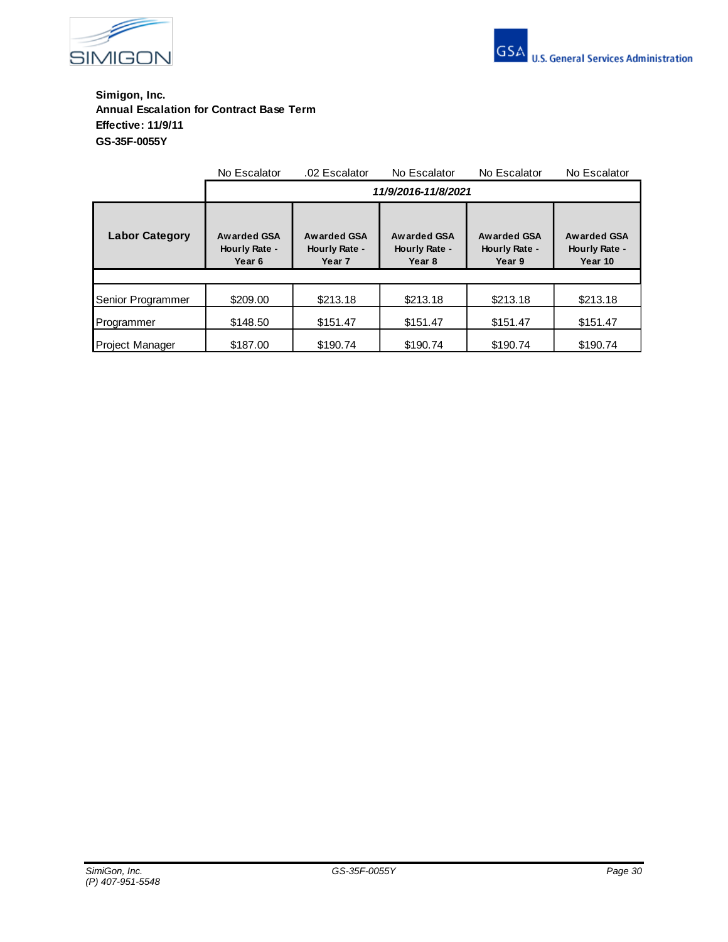



**Simigon, Inc. Annual Escalation for Contract Base Term Effective: 11/9/11 GS-35F-0055Y**

|                       | No Escalator                           | .02 Escalator                                     | No Escalator                           | No Escalator                                  | No Escalator                            |  |  |  |
|-----------------------|----------------------------------------|---------------------------------------------------|----------------------------------------|-----------------------------------------------|-----------------------------------------|--|--|--|
|                       | 11/9/2016-11/8/2021                    |                                                   |                                        |                                               |                                         |  |  |  |
| <b>Labor Category</b> | Awarded GSA<br>Hourly Rate -<br>Year 6 | Awarded GSA<br>Hourly Rate -<br>Year <sub>7</sub> | Awarded GSA<br>Hourly Rate -<br>Year 8 | <b>Awarded GSA</b><br>Hourly Rate -<br>Year 9 | Awarded GSA<br>Hourly Rate -<br>Year 10 |  |  |  |
|                       |                                        |                                                   |                                        |                                               |                                         |  |  |  |
| Senior Programmer     | \$209.00                               | \$213.18                                          | \$213.18                               | \$213.18                                      | \$213.18                                |  |  |  |
| Programmer            | \$148.50                               | \$151.47                                          | \$151.47                               | \$151.47                                      | \$151.47                                |  |  |  |
| Project Manager       | \$187.00                               | \$190.74                                          | \$190.74                               | \$190.74                                      | \$190.74                                |  |  |  |